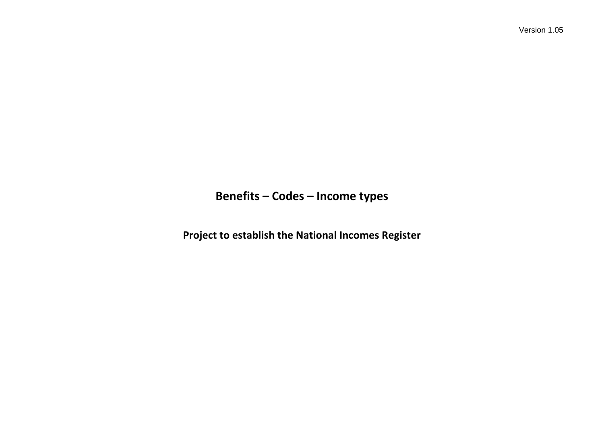Version 1.05

**Benefits – Codes – Income types**

**Project to establish the National Incomes Register**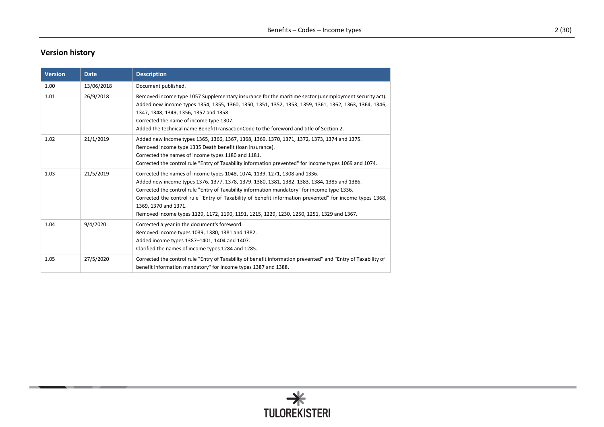## **Version history**

 $\overline{\phantom{a}}$ 

| <b>Version</b> | <b>Date</b> | <b>Description</b>                                                                                                                                                                                                                                                                                                                                                                                                                                                                                         |
|----------------|-------------|------------------------------------------------------------------------------------------------------------------------------------------------------------------------------------------------------------------------------------------------------------------------------------------------------------------------------------------------------------------------------------------------------------------------------------------------------------------------------------------------------------|
| 1.00           | 13/06/2018  | Document published.                                                                                                                                                                                                                                                                                                                                                                                                                                                                                        |
| 1.01           | 26/9/2018   | Removed income type 1057 Supplementary insurance for the maritime sector (unemployment security act).<br>Added new income types 1354, 1355, 1360, 1350, 1351, 1352, 1353, 1359, 1361, 1362, 1363, 1364, 1346,<br>1347, 1348, 1349, 1356, 1357 and 1358.<br>Corrected the name of income type 1307.<br>Added the technical name BenefitTransactionCode to the foreword and title of Section 2.                                                                                                              |
| 1.02           | 21/1/2019   | Added new income types 1365, 1366, 1367, 1368, 1369, 1370, 1371, 1372, 1373, 1374 and 1375.<br>Removed income type 1335 Death benefit (loan insurance).<br>Corrected the names of income types 1180 and 1181.<br>Corrected the control rule "Entry of Taxability information prevented" for income types 1069 and 1074.                                                                                                                                                                                    |
| 1.03           | 21/5/2019   | Corrected the names of income types 1048, 1074, 1139, 1271, 1308 and 1336.<br>Added new income types 1376, 1377, 1378, 1379, 1380, 1381, 1382, 1383, 1384, 1385 and 1386.<br>Corrected the control rule "Entry of Taxability information mandatory" for income type 1336.<br>Corrected the control rule "Entry of Taxability of benefit information prevented" for income types 1368,<br>1369, 1370 and 1371.<br>Removed income types 1129, 1172, 1190, 1191, 1215, 1229, 1230, 1250, 1251, 1329 and 1367. |
| 1.04           | 9/4/2020    | Corrected a year in the document's foreword.<br>Removed income types 1039, 1380, 1381 and 1382.<br>Added income types 1387-1401, 1404 and 1407.<br>Clarified the names of income types 1284 and 1285.                                                                                                                                                                                                                                                                                                      |
| 1.05           | 27/5/2020   | Corrected the control rule "Entry of Taxability of benefit information prevented" and "Entry of Taxability of<br>benefit information mandatory" for income types 1387 and 1388.                                                                                                                                                                                                                                                                                                                            |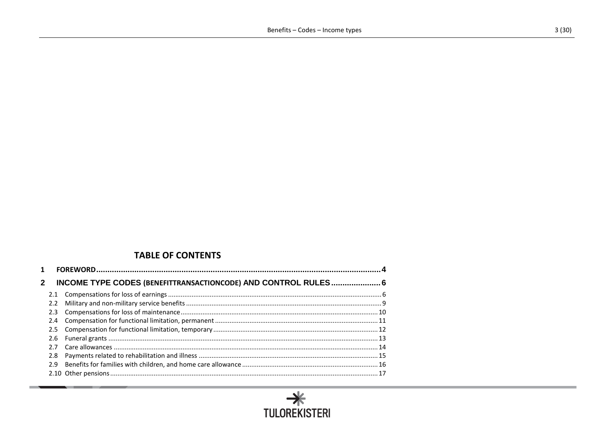# **TABLE OF CONTENTS**

| $\mathbf 1$  |     |                                                                |  |
|--------------|-----|----------------------------------------------------------------|--|
| $\mathbf{2}$ |     | INCOME TYPE CODES (BENEFITTRANSACTIONCODE) AND CONTROL RULES 6 |  |
|              | 2.1 |                                                                |  |
|              | 2.2 |                                                                |  |
|              |     |                                                                |  |
|              |     |                                                                |  |
|              |     |                                                                |  |
|              |     |                                                                |  |
|              |     |                                                                |  |
|              |     |                                                                |  |
|              |     |                                                                |  |
|              |     |                                                                |  |
|              |     |                                                                |  |

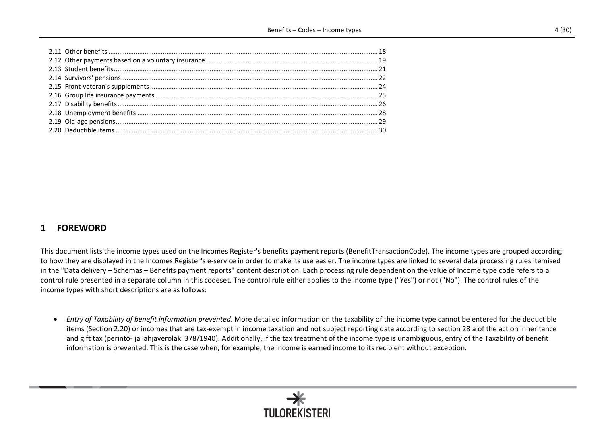### <span id="page-3-0"></span>**1 FOREWORD**

This document lists the income types used on the Incomes Register's benefits payment reports (BenefitTransactionCode). The income types are grouped according to how they are displayed in the Incomes Register's e-service in order to make its use easier. The income types are linked to several data processing rules itemised in the "Data delivery – Schemas – Benefits payment reports" content description. Each processing rule dependent on the value of Income type code refers to a control rule presented in a separate column in this codeset. The control rule either applies to the income type ("Yes") or not ("No"). The control rules of the income types with short descriptions are as follows:

• *Entry of Taxability of benefit information prevented*. More detailed information on the taxability of the income type cannot be entered for the deductible items (Section 2.20) or incomes that are tax-exempt in income taxation and not subject reporting data according to section 28 a of the act on inheritance and gift tax (perintö- ja lahjaverolaki 378/1940). Additionally, if the tax treatment of the income type is unambiguous, entry of the Taxability of benefit information is prevented. This is the case when, for example, the income is earned income to its recipient without exception.

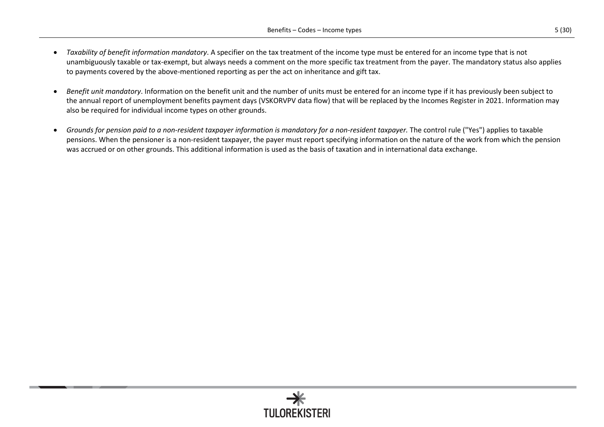- *Taxability of benefit information mandatory*. A specifier on the tax treatment of the income type must be entered for an income type that is not unambiguously taxable or tax-exempt, but always needs a comment on the more specific tax treatment from the payer. The mandatory status also applies to payments covered by the above-mentioned reporting as per the act on inheritance and gift tax.
- *Benefit unit mandatory*. Information on the benefit unit and the number of units must be entered for an income type if it has previously been subject to the annual report of unemployment benefits payment days (VSKORVPV data flow) that will be replaced by the Incomes Register in 2021. Information may also be required for individual income types on other grounds.
- *Grounds for pension paid to a non-resident taxpayer information is mandatory for a non-resident taxpayer.* The control rule ("Yes") applies to taxable pensions. When the pensioner is a non-resident taxpayer, the payer must report specifying information on the nature of the work from which the pension was accrued or on other grounds. This additional information is used as the basis of taxation and in international data exchange.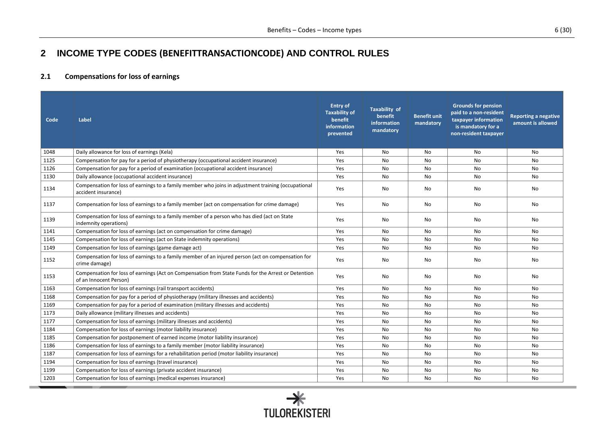# <span id="page-5-0"></span>**2 INCOME TYPE CODES (BENEFITTRANSACTIONCODE) AND CONTROL RULES**

#### <span id="page-5-1"></span>**2.1 Compensations for loss of earnings**

| Code | Label                                                                                                                         | <b>Entry of</b><br><b>Taxability of</b><br>benefit<br>information<br>prevented | <b>Taxability of</b><br>benefit<br>information<br>mandatory | <b>Benefit unit</b><br>mandatory | <b>Grounds for pension</b><br>paid to a non-resident<br>taxpayer information<br>is mandatory for a<br>non-resident taxpayer | <b>Reporting a negative</b><br>amount is allowed |
|------|-------------------------------------------------------------------------------------------------------------------------------|--------------------------------------------------------------------------------|-------------------------------------------------------------|----------------------------------|-----------------------------------------------------------------------------------------------------------------------------|--------------------------------------------------|
| 1048 | Daily allowance for loss of earnings (Kela)                                                                                   | Yes                                                                            | No                                                          | No                               | No                                                                                                                          | No                                               |
| 1125 | Compensation for pay for a period of physiotherapy (occupational accident insurance)                                          | Yes                                                                            | No                                                          | No                               | No                                                                                                                          | No                                               |
| 1126 | Compensation for pay for a period of examination (occupational accident insurance)                                            | Yes                                                                            | No                                                          | No                               | No                                                                                                                          | No                                               |
| 1130 | Daily allowance (occupational accident insurance)                                                                             | Yes                                                                            | <b>No</b>                                                   | <b>No</b>                        | <b>No</b>                                                                                                                   | No                                               |
| 1134 | Compensation for loss of earnings to a family member who joins in adjustment training (occupational<br>accident insurance)    | Yes                                                                            | No                                                          | No                               | No                                                                                                                          | No                                               |
| 1137 | Compensation for loss of earnings to a family member (act on compensation for crime damage)                                   | Yes                                                                            | No                                                          | No                               | No                                                                                                                          | No                                               |
| 1139 | Compensation for loss of earnings to a family member of a person who has died (act on State<br>indemnity operations)          | Yes                                                                            | No                                                          | No                               | No                                                                                                                          | No                                               |
| 1141 | Compensation for loss of earnings (act on compensation for crime damage)                                                      | Yes                                                                            | No                                                          | No                               | No                                                                                                                          | No                                               |
| 1145 | Compensation for loss of earnings (act on State indemnity operations)                                                         | Yes                                                                            | No                                                          | No                               | No                                                                                                                          | No                                               |
| 1149 | Compensation for loss of earnings (game damage act)                                                                           | Yes                                                                            | No                                                          | No                               | No                                                                                                                          | No                                               |
| 1152 | Compensation for loss of earnings to a family member of an injured person (act on compensation for<br>crime damage)           | Yes                                                                            | No                                                          | No                               | No                                                                                                                          | No                                               |
| 1153 | Compensation for loss of earnings (Act on Compensation from State Funds for the Arrest or Detention<br>of an Innocent Person) | Yes                                                                            | No                                                          | No                               | No                                                                                                                          | No                                               |
| 1163 | Compensation for loss of earnings (rail transport accidents)                                                                  | Yes                                                                            | No                                                          | <b>No</b>                        | No                                                                                                                          | No                                               |
| 1168 | Compensation for pay for a period of physiotherapy (military illnesses and accidents)                                         | Yes                                                                            | No                                                          | No                               | No                                                                                                                          | No                                               |
| 1169 | Compensation for pay for a period of examination (military illnesses and accidents)                                           | Yes                                                                            | No                                                          | No                               | No                                                                                                                          | No                                               |
| 1173 | Daily allowance (military illnesses and accidents)                                                                            | Yes                                                                            | No                                                          | No                               | No                                                                                                                          | <b>No</b>                                        |
| 1177 | Compensation for loss of earnings (military illnesses and accidents)                                                          | Yes                                                                            | No                                                          | No                               | No                                                                                                                          | No                                               |
| 1184 | Compensation for loss of earnings (motor liability insurance)                                                                 | Yes                                                                            | No                                                          | No                               | No                                                                                                                          | No                                               |
| 1185 | Compensation for postponement of earned income (motor liability insurance)                                                    | Yes                                                                            | No                                                          | No                               | No                                                                                                                          | No                                               |
| 1186 | Compensation for loss of earnings to a family member (motor liability insurance)                                              | Yes                                                                            | No                                                          | No                               | No                                                                                                                          | No                                               |
| 1187 | Compensation for loss of earnings for a rehabilitation period (motor liability insurance)                                     | Yes                                                                            | No                                                          | No                               | No                                                                                                                          | No                                               |
| 1194 | Compensation for loss of earnings (travel insurance)                                                                          | Yes                                                                            | No                                                          | No                               | No                                                                                                                          | No                                               |
| 1199 | Compensation for loss of earnings (private accident insurance)                                                                | Yes                                                                            | No                                                          | No                               | No                                                                                                                          | No                                               |
| 1203 | Compensation for loss of earnings (medical expenses insurance)                                                                | Yes                                                                            | No                                                          | No                               | No                                                                                                                          | No                                               |

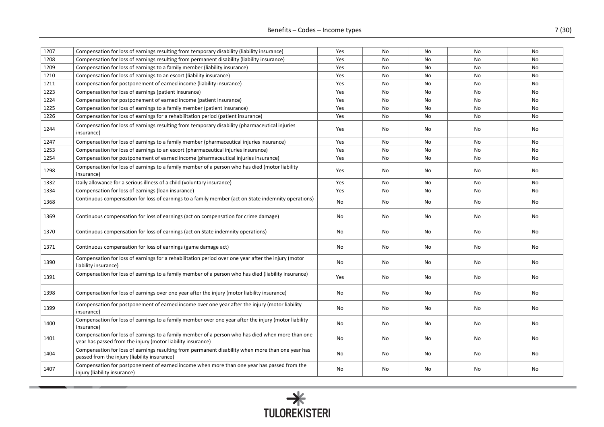| 1207 | Compensation for loss of earnings resulting from temporary disability (liability insurance)                                                                     | Yes       | No        | No        | No        | No |
|------|-----------------------------------------------------------------------------------------------------------------------------------------------------------------|-----------|-----------|-----------|-----------|----|
| 1208 | Compensation for loss of earnings resulting from permanent disability (liability insurance)                                                                     | Yes       | No        | <b>No</b> | No        | No |
| 1209 | Compensation for loss of earnings to a family member (liability insurance)                                                                                      | Yes       | No        | No        | No        | No |
| 1210 | Compensation for loss of earnings to an escort (liability insurance)                                                                                            | Yes       | No        | No        | No        | No |
| 1211 | Compensation for postponement of earned income (liability insurance)                                                                                            | Yes       | No        | No        | No        | No |
| 1223 | Compensation for loss of earnings (patient insurance)                                                                                                           | Yes       | No        | No        | No        | No |
| 1224 | Compensation for postponement of earned income (patient insurance)                                                                                              | Yes       | No        | <b>No</b> | No        | No |
| 1225 | Compensation for loss of earnings to a family member (patient insurance)                                                                                        | Yes       | No        | No        | No        | No |
| 1226 | Compensation for loss of earnings for a rehabilitation period (patient insurance)                                                                               | Yes       | No        | No        | No        | No |
| 1244 | Compensation for loss of earnings resulting from temporary disability (pharmaceutical injuries<br>insurance)                                                    | Yes       | No        | No        | No        | No |
| 1247 | Compensation for loss of earnings to a family member (pharmaceutical injuries insurance)                                                                        | Yes       | <b>No</b> | <b>No</b> | No        | No |
| 1253 | Compensation for loss of earnings to an escort (pharmaceutical injuries insurance)                                                                              | Yes       | No.       | <b>No</b> | No        | No |
| 1254 | Compensation for postponement of earned income (pharmaceutical injuries insurance)                                                                              | Yes       | No        | No        | No.       | No |
| 1298 | Compensation for loss of earnings to a family member of a person who has died (motor liability<br>insurance)                                                    | Yes       | No        | No        | No        | No |
| 1332 | Daily allowance for a serious illness of a child (voluntary insurance)                                                                                          | Yes       | No        | No        | No        | No |
| 1334 | Compensation for loss of earnings (loan insurance)                                                                                                              | Yes       | No        | <b>No</b> | <b>No</b> | No |
| 1368 | Continuous compensation for loss of earnings to a family member (act on State indemnity operations)                                                             | No        | No        | No        | No        | No |
| 1369 | Continuous compensation for loss of earnings (act on compensation for crime damage)                                                                             | No        | No        | No        | No        | No |
| 1370 | Continuous compensation for loss of earnings (act on State indemnity operations)                                                                                | <b>No</b> | No        | No        | No        | No |
| 1371 | Continuous compensation for loss of earnings (game damage act)                                                                                                  | No        | No        | No        | No        | No |
| 1390 | Compensation for loss of earnings for a rehabilitation period over one year after the injury (motor<br>liability insurance)                                     | No        | No        | No        | No        | No |
| 1391 | Compensation for loss of earnings to a family member of a person who has died (liability insurance)                                                             | Yes       | No        | No        | No        | No |
| 1398 | Compensation for loss of earnings over one year after the injury (motor liability insurance)                                                                    | No        | No        | No        | No        | No |
| 1399 | Compensation for postponement of earned income over one year after the injury (motor liability<br>insurance)                                                    | No        | No        | No        | No        | No |
| 1400 | Compensation for loss of earnings to a family member over one year after the injury (motor liability<br>insurance)                                              | No        | No        | No        | No        | No |
| 1401 | Compensation for loss of earnings to a family member of a person who has died when more than one<br>year has passed from the injury (motor liability insurance) | No        | No        | No        | No        | No |
| 1404 | Compensation for loss of earnings resulting from permanent disability when more than one year has<br>passed from the injury (liability insurance)               | No        | No        | No        | No        | No |
| 1407 | Compensation for postponement of earned income when more than one year has passed from the<br>injury (liability insurance)                                      | No        | No        | No        | No        | No |

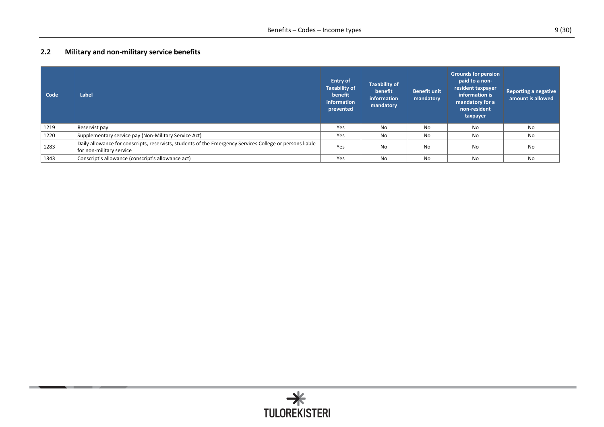#### <span id="page-8-0"></span>**2.2 Military and non-military service benefits**

| Code | Label                                                                                                                                | <b>Entry of</b><br><b>Taxability of</b><br>benefit<br>information<br>prevented | <b>Taxability of</b><br>benefit<br>information<br>mandatory | <b>Benefit unit</b><br>mandatory | <b>Grounds for pension</b><br>paid to a non-<br>resident taxpayer<br>information is<br>mandatory for a<br>non-resident<br>taxpayer | <b>Reporting a negative</b><br>amount is allowed |
|------|--------------------------------------------------------------------------------------------------------------------------------------|--------------------------------------------------------------------------------|-------------------------------------------------------------|----------------------------------|------------------------------------------------------------------------------------------------------------------------------------|--------------------------------------------------|
| 1219 | Reservist pay                                                                                                                        | Yes                                                                            | No                                                          | No                               | No                                                                                                                                 | <b>No</b>                                        |
| 1220 | Supplementary service pay (Non-Military Service Act)                                                                                 | Yes                                                                            | No                                                          | No                               | No                                                                                                                                 | No                                               |
| 1283 | Daily allowance for conscripts, reservists, students of the Emergency Services College or persons liable<br>for non-military service | Yes                                                                            | No                                                          | No                               | No                                                                                                                                 | No                                               |
| 1343 | Conscript's allowance (conscript's allowance act)                                                                                    | Yes                                                                            | No                                                          | No                               | No                                                                                                                                 | No                                               |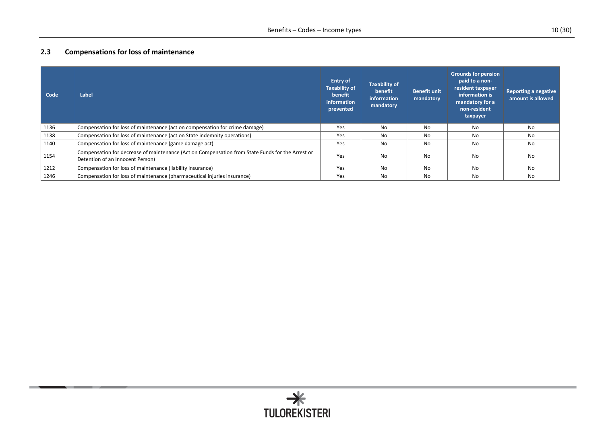#### <span id="page-9-0"></span>**2.3 Compensations for loss of maintenance**

| Code | Label                                                                                                                                | <b>Entry of</b><br><b>Taxability of</b><br>benefit<br>information<br>prevented | <b>Taxability of</b><br>benefit<br>information<br>mandatory | <b>Benefit unit</b><br>mandatory | <b>Grounds for pension</b><br>paid to a non-<br>resident taxpayer<br>information is<br>mandatory for a<br>non-resident<br>taxpayer | <b>Reporting a negative</b><br>amount is allowed |
|------|--------------------------------------------------------------------------------------------------------------------------------------|--------------------------------------------------------------------------------|-------------------------------------------------------------|----------------------------------|------------------------------------------------------------------------------------------------------------------------------------|--------------------------------------------------|
| 1136 | Compensation for loss of maintenance (act on compensation for crime damage)                                                          | Yes                                                                            | No                                                          | No                               | No                                                                                                                                 | No.                                              |
| 1138 | Compensation for loss of maintenance (act on State indemnity operations)                                                             | Yes                                                                            | No                                                          | No                               | No.                                                                                                                                | No.                                              |
| 1140 | Compensation for loss of maintenance (game damage act)                                                                               | Yes                                                                            | No                                                          | No                               | No.                                                                                                                                | No.                                              |
| 1154 | Compensation for decrease of maintenance (Act on Compensation from State Funds for the Arrest or<br>Detention of an Innocent Person) | Yes                                                                            | No                                                          | No                               | No                                                                                                                                 | No                                               |
| 1212 | Compensation for loss of maintenance (liability insurance)                                                                           | Yes                                                                            | No                                                          | No                               | No                                                                                                                                 | No.                                              |
| 1246 | Compensation for loss of maintenance (pharmaceutical injuries insurance)                                                             | Yes                                                                            | No                                                          | No                               | No                                                                                                                                 | No.                                              |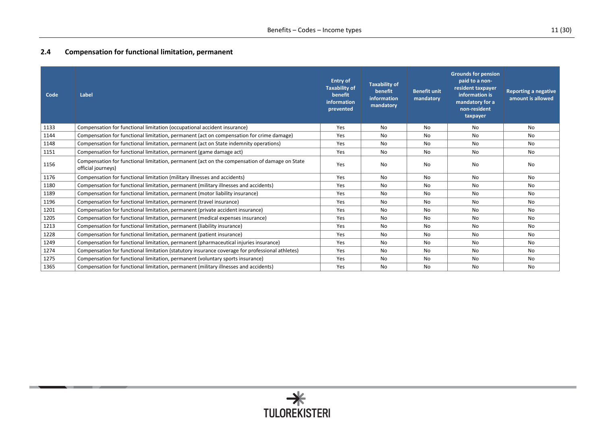#### <span id="page-10-0"></span>**2.4 Compensation for functional limitation, permanent**

| Code | Label                                                                                                               | <b>Entry of</b><br><b>Taxability of</b><br>benefit<br>information<br>prevented | <b>Taxability of</b><br>benefit<br><b>information</b><br>mandatory | <b>Benefit unit</b><br>mandatory | <b>Grounds for pension</b><br>paid to a non-<br>resident taxpayer<br>information is<br>mandatory for a<br>non-resident<br>taxpayer | <b>Reporting a negative</b><br>amount is allowed |
|------|---------------------------------------------------------------------------------------------------------------------|--------------------------------------------------------------------------------|--------------------------------------------------------------------|----------------------------------|------------------------------------------------------------------------------------------------------------------------------------|--------------------------------------------------|
| 1133 | Compensation for functional limitation (occupational accident insurance)                                            | Yes                                                                            | <b>No</b>                                                          | No                               | No                                                                                                                                 | <b>No</b>                                        |
| 1144 | Compensation for functional limitation, permanent (act on compensation for crime damage)                            | Yes                                                                            | <b>No</b>                                                          | No                               | No                                                                                                                                 | No                                               |
| 1148 | Compensation for functional limitation, permanent (act on State indemnity operations)                               | Yes                                                                            | <b>No</b>                                                          | <b>No</b>                        | No                                                                                                                                 | <b>No</b>                                        |
| 1151 | Compensation for functional limitation, permanent (game damage act)                                                 | Yes                                                                            | <b>No</b>                                                          | No                               | No                                                                                                                                 | No                                               |
| 1156 | Compensation for functional limitation, permanent (act on the compensation of damage on State<br>official journeys) | Yes                                                                            | <b>No</b>                                                          | <b>No</b>                        | No                                                                                                                                 | <b>No</b>                                        |
| 1176 | Compensation for functional limitation (military illnesses and accidents)                                           | Yes                                                                            | <b>No</b>                                                          | <b>No</b>                        | <b>No</b>                                                                                                                          | <b>No</b>                                        |
| 1180 | Compensation for functional limitation, permanent (military illnesses and accidents)                                | Yes                                                                            | <b>No</b>                                                          | N <sub>o</sub>                   | No                                                                                                                                 | No                                               |
| 1189 | Compensation for functional limitation, permanent (motor liability insurance)                                       | Yes                                                                            | No                                                                 | No                               | No                                                                                                                                 | No                                               |
| 1196 | Compensation for functional limitation, permanent (travel insurance)                                                | Yes                                                                            | <b>No</b>                                                          | <b>No</b>                        | No                                                                                                                                 | <b>No</b>                                        |
| 1201 | Compensation for functional limitation, permanent (private accident insurance)                                      | Yes                                                                            | <b>No</b>                                                          | No                               | No                                                                                                                                 | <b>No</b>                                        |
| 1205 | Compensation for functional limitation, permanent (medical expenses insurance)                                      | Yes                                                                            | <b>No</b>                                                          | No                               | No                                                                                                                                 | No                                               |
| 1213 | Compensation for functional limitation, permanent (liability insurance)                                             | Yes                                                                            | N <sub>o</sub>                                                     | No                               | <b>No</b>                                                                                                                          | <b>No</b>                                        |
| 1228 | Compensation for functional limitation, permanent (patient insurance)                                               | Yes                                                                            | <b>No</b>                                                          | No                               | No                                                                                                                                 | No.                                              |
| 1249 | Compensation for functional limitation, permanent (pharmaceutical injuries insurance)                               | Yes                                                                            | <b>No</b>                                                          | No                               | No                                                                                                                                 | No                                               |
| 1274 | Compensation for functional limitation (statutory insurance coverage for professional athletes)                     | Yes                                                                            | <b>No</b>                                                          | No                               | No                                                                                                                                 | No                                               |
| 1275 | Compensation for functional limitation, permanent (voluntary sports insurance)                                      | Yes                                                                            | <b>No</b>                                                          | No                               | No.                                                                                                                                | No                                               |
| 1365 | Compensation for functional limitation, permanent (military illnesses and accidents)                                | Yes                                                                            | <b>No</b>                                                          | <b>No</b>                        | No                                                                                                                                 | No                                               |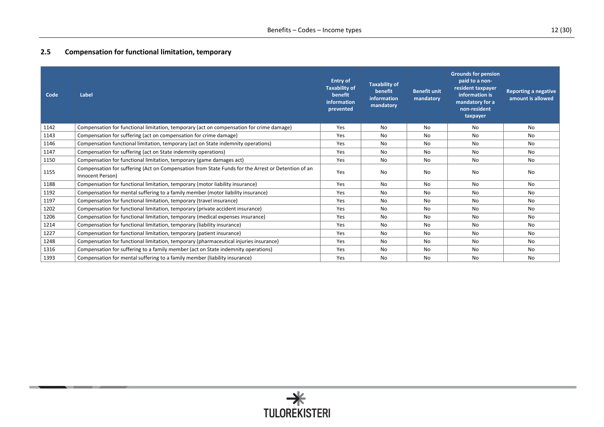#### <span id="page-11-0"></span>**2.5 Compensation for functional limitation, temporary**

| Code | Label                                                                                                                  | <b>Entry of</b><br><b>Taxability of</b><br>benefit<br>information<br>prevented | <b>Taxability of</b><br>benefit<br><b>information</b><br>mandatory | <b>Benefit unit</b><br>mandatory | <b>Grounds for pension</b><br>paid to a non-<br>resident taxpayer<br>information is<br>mandatory for a<br>non-resident<br>taxpayer | <b>Reporting a negative</b><br>amount is allowed |
|------|------------------------------------------------------------------------------------------------------------------------|--------------------------------------------------------------------------------|--------------------------------------------------------------------|----------------------------------|------------------------------------------------------------------------------------------------------------------------------------|--------------------------------------------------|
| 1142 | Compensation for functional limitation, temporary (act on compensation for crime damage)                               | Yes                                                                            | No                                                                 | <b>No</b>                        | No                                                                                                                                 | <b>No</b>                                        |
| 1143 | Compensation for suffering (act on compensation for crime damage)                                                      | Yes                                                                            | No                                                                 | No                               | No                                                                                                                                 | No.                                              |
| 1146 | Compensation functional limitation, temporary (act on State indemnity operations)                                      | Yes                                                                            | No                                                                 | No                               | No                                                                                                                                 | No                                               |
| 1147 | Compensation for suffering (act on State indemnity operations)                                                         | Yes                                                                            | No                                                                 | No                               | No                                                                                                                                 | No.                                              |
| 1150 | Compensation for functional limitation, temporary (game damages act)                                                   | Yes                                                                            | No.                                                                | No                               | No                                                                                                                                 | No.                                              |
| 1155 | Compensation for suffering (Act on Compensation from State Funds for the Arrest or Detention of an<br>Innocent Person) | Yes                                                                            | No                                                                 | No                               | No                                                                                                                                 | No                                               |
| 1188 | Compensation for functional limitation, temporary (motor liability insurance)                                          | Yes                                                                            | No.                                                                | No                               | No                                                                                                                                 | No.                                              |
| 1192 | Compensation for mental suffering to a family member (motor liability insurance)                                       | Yes                                                                            | No.                                                                | No                               | No.                                                                                                                                | No.                                              |
| 1197 | Compensation for functional limitation, temporary (travel insurance)                                                   | Yes                                                                            | No.                                                                | No.                              | No.                                                                                                                                | No.                                              |
| 1202 | Compensation for functional limitation, temporary (private accident insurance)                                         | Yes                                                                            | No.                                                                | No                               | No                                                                                                                                 | No.                                              |
| 1206 | Compensation for functional limitation, temporary (medical expenses insurance)                                         | Yes                                                                            | No.                                                                | No                               | No                                                                                                                                 | No.                                              |
| 1214 | Compensation for functional limitation, temporary (liability insurance)                                                | Yes                                                                            | No.                                                                | No                               | No                                                                                                                                 | No.                                              |
| 1227 | Compensation for functional limitation, temporary (patient insurance)                                                  | Yes                                                                            | No.                                                                | No.                              | No                                                                                                                                 | No.                                              |
| 1248 | Compensation for functional limitation, temporary (pharmaceutical injuries insurance)                                  | Yes                                                                            | No                                                                 | <b>No</b>                        | <b>No</b>                                                                                                                          | No.                                              |
| 1316 | Compensation for suffering to a family member (act on State indemnity operations)                                      | Yes                                                                            | No.                                                                | No                               | No.                                                                                                                                | No                                               |
| 1393 | Compensation for mental suffering to a family member (liability insurance)                                             | Yes                                                                            | No                                                                 | No                               | No                                                                                                                                 | No                                               |

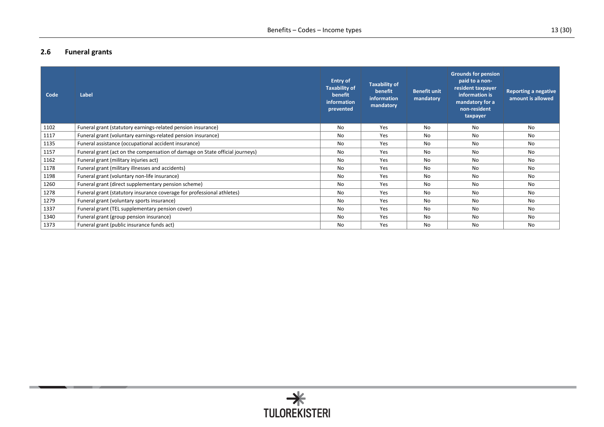#### <span id="page-12-0"></span>**2.6 Funeral grants**

 $\overline{\phantom{a}}$ 

| Code | Label                                                                        | <b>Entry of</b><br><b>Taxability of</b><br>benefit<br><b>information</b><br>prevented | <b>Taxability of</b><br>benefit<br>information<br>mandatory | <b>Benefit unit</b><br>mandatory | <b>Grounds for pension</b><br>paid to a non-<br>resident taxpayer<br>information is<br>mandatory for a<br>non-resident<br>taxpayer | <b>Reporting a negative</b><br>amount is allowed |
|------|------------------------------------------------------------------------------|---------------------------------------------------------------------------------------|-------------------------------------------------------------|----------------------------------|------------------------------------------------------------------------------------------------------------------------------------|--------------------------------------------------|
| 1102 | Funeral grant (statutory earnings-related pension insurance)                 | No                                                                                    | Yes                                                         | No                               | No                                                                                                                                 | No                                               |
| 1117 | Funeral grant (voluntary earnings-related pension insurance)                 | No.                                                                                   | Yes                                                         | No                               | No.                                                                                                                                | No.                                              |
| 1135 | Funeral assistance (occupational accident insurance)                         | <b>No</b>                                                                             | Yes                                                         | No                               | No.                                                                                                                                | No                                               |
| 1157 | Funeral grant (act on the compensation of damage on State official journeys) | No.                                                                                   | Yes                                                         | No                               | No                                                                                                                                 | No                                               |
| 1162 | Funeral grant (military injuries act)                                        | No.                                                                                   | Yes                                                         | No.                              | No                                                                                                                                 | No.                                              |
| 1178 | Funeral grant (military illnesses and accidents)                             | No                                                                                    | Yes                                                         | No                               | No.                                                                                                                                | No                                               |
| 1198 | Funeral grant (voluntary non-life insurance)                                 | <b>No</b>                                                                             | Yes                                                         | No                               | No                                                                                                                                 | No.                                              |
| 1260 | Funeral grant (direct supplementary pension scheme)                          | <b>No</b>                                                                             | Yes                                                         | No                               | No.                                                                                                                                | No.                                              |
| 1278 | Funeral grant (statutory insurance coverage for professional athletes)       | <b>No</b>                                                                             | Yes                                                         | No                               | No.                                                                                                                                | No                                               |
| 1279 | Funeral grant (voluntary sports insurance)                                   | <b>No</b>                                                                             | Yes                                                         | No                               | No                                                                                                                                 | No                                               |
| 1337 | Funeral grant (TEL supplementary pension cover)                              | <b>No</b>                                                                             | Yes                                                         | No                               | No.                                                                                                                                | No                                               |
| 1340 | Funeral grant (group pension insurance)                                      | No.                                                                                   | Yes                                                         | No                               | No.                                                                                                                                | No                                               |
| 1373 | Funeral grant (public insurance funds act)                                   | No                                                                                    | Yes                                                         | <b>No</b>                        | No                                                                                                                                 | No                                               |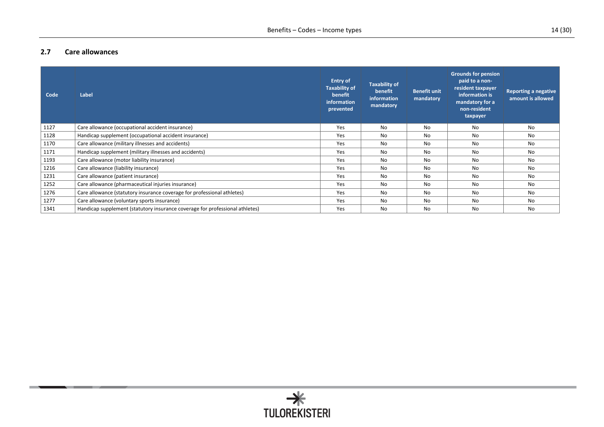#### <span id="page-13-0"></span>**2.7 Care allowances**

| Code | Label                                                                        | <b>Entry of</b><br><b>Taxability of</b><br>benefit<br><b>information</b><br>prevented | <b>Taxability of</b><br>benefit<br>information<br>mandatory | <b>Benefit unit</b><br>mandatory | <b>Grounds for pension</b><br>paid to a non-<br>resident taxpayer<br>information is<br>mandatory for a<br>non-resident<br>taxpayer | Reporting a negative<br>amount is allowed |
|------|------------------------------------------------------------------------------|---------------------------------------------------------------------------------------|-------------------------------------------------------------|----------------------------------|------------------------------------------------------------------------------------------------------------------------------------|-------------------------------------------|
| 1127 | Care allowance (occupational accident insurance)                             | Yes                                                                                   | No                                                          | No                               | No.                                                                                                                                | No.                                       |
| 1128 | Handicap supplement (occupational accident insurance)                        | Yes                                                                                   | No                                                          | No                               | No                                                                                                                                 | No                                        |
| 1170 | Care allowance (military illnesses and accidents)                            | Yes                                                                                   | No                                                          | No                               | No                                                                                                                                 | No                                        |
| 1171 | Handicap supplement (military illnesses and accidents)                       | Yes                                                                                   | No                                                          | No                               | No                                                                                                                                 | No                                        |
| 1193 | Care allowance (motor liability insurance)                                   | Yes                                                                                   | No                                                          | No.                              | No                                                                                                                                 | No                                        |
| 1216 | Care allowance (liability insurance)                                         | Yes                                                                                   | No                                                          | No                               | No                                                                                                                                 | No                                        |
| 1231 | Care allowance (patient insurance)                                           | Yes                                                                                   | No                                                          | No                               | No.                                                                                                                                | No.                                       |
| 1252 | Care allowance (pharmaceutical injuries insurance)                           | Yes                                                                                   | No                                                          | No                               | No                                                                                                                                 | No                                        |
| 1276 | Care allowance (statutory insurance coverage for professional athletes)      | Yes                                                                                   | No                                                          | No                               | No.                                                                                                                                | No.                                       |
| 1277 | Care allowance (voluntary sports insurance)                                  | Yes                                                                                   | No                                                          | No                               | No.                                                                                                                                | No.                                       |
| 1341 | Handicap supplement (statutory insurance coverage for professional athletes) | Yes                                                                                   | No                                                          | No                               | No                                                                                                                                 | No                                        |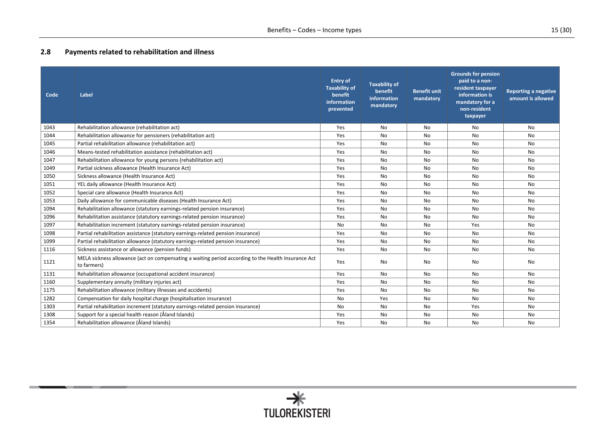#### <span id="page-14-0"></span>**2.8 Payments related to rehabilitation and illness**

| Code | Label                                                                                                              | <b>Entry of</b><br><b>Taxability of</b><br>benefit<br>information<br>prevented | <b>Taxability of</b><br>benefit<br>information<br>mandatory | <b>Benefit unit</b><br>mandatory | <b>Grounds for pension</b><br>paid to a non-<br>resident taxpayer<br>information is<br>mandatory for a<br>non-resident<br>taxpayer | <b>Reporting a negative</b><br>amount is allowed |
|------|--------------------------------------------------------------------------------------------------------------------|--------------------------------------------------------------------------------|-------------------------------------------------------------|----------------------------------|------------------------------------------------------------------------------------------------------------------------------------|--------------------------------------------------|
| 1043 | Rehabilitation allowance (rehabilitation act)                                                                      | Yes                                                                            | No                                                          | No                               | No                                                                                                                                 | <b>No</b>                                        |
| 1044 | Rehabilitation allowance for pensioners (rehabilitation act)                                                       | Yes                                                                            | No                                                          | No                               | No                                                                                                                                 | <b>No</b>                                        |
| 1045 | Partial rehabilitation allowance (rehabilitation act)                                                              | Yes                                                                            | No                                                          | <b>No</b>                        | No                                                                                                                                 | <b>No</b>                                        |
| 1046 | Means-tested rehabilitation assistance (rehabilitation act)                                                        | Yes                                                                            | No                                                          | No                               | No                                                                                                                                 | No                                               |
| 1047 | Rehabilitation allowance for young persons (rehabilitation act)                                                    | Yes                                                                            | No                                                          | No                               | No                                                                                                                                 | No                                               |
| 1049 | Partial sickness allowance (Health Insurance Act)                                                                  | Yes                                                                            | No                                                          | No                               | No                                                                                                                                 | No                                               |
| 1050 | Sickness allowance (Health Insurance Act)                                                                          | Yes                                                                            | No                                                          | No                               | No                                                                                                                                 | No                                               |
| 1051 | YEL daily allowance (Health Insurance Act)                                                                         | Yes                                                                            | No                                                          | <b>No</b>                        | No                                                                                                                                 | <b>No</b>                                        |
| 1052 | Special care allowance (Health Insurance Act)                                                                      | Yes                                                                            | No                                                          | <b>No</b>                        | No                                                                                                                                 | <b>No</b>                                        |
| 1053 | Daily allowance for communicable diseases (Health Insurance Act)                                                   | Yes                                                                            | No                                                          | No                               | No                                                                                                                                 | <b>No</b>                                        |
| 1094 | Rehabilitation allowance (statutory earnings-related pension insurance)                                            | Yes                                                                            | No                                                          | No                               | No                                                                                                                                 | No                                               |
| 1096 | Rehabilitation assistance (statutory earnings-related pension insurance)                                           | Yes                                                                            | No                                                          | No                               | No                                                                                                                                 | No                                               |
| 1097 | Rehabilitation increment (statutory earnings-related pension insurance)                                            | <b>No</b>                                                                      | No                                                          | No                               | Yes                                                                                                                                | No                                               |
| 1098 | Partial rehabilitation assistance (statutory earnings-related pension insurance)                                   | Yes                                                                            | No                                                          | No                               | No                                                                                                                                 | No                                               |
| 1099 | Partial rehabilitation allowance (statutory earnings-related pension insurance)                                    | Yes                                                                            | No                                                          | No                               | No                                                                                                                                 | <b>No</b>                                        |
| 1116 | Sickness assistance or allowance (pension funds)                                                                   | Yes                                                                            | No                                                          | <b>No</b>                        | No                                                                                                                                 | <b>No</b>                                        |
| 1121 | MELA sickness allowance (act on compensating a waiting period according to the Health Insurance Act<br>to farmers) | Yes                                                                            | No                                                          | <b>No</b>                        | No.                                                                                                                                | <b>No</b>                                        |
| 1131 | Rehabilitation allowance (occupational accident insurance)                                                         | Yes                                                                            | No                                                          | <b>No</b>                        | No                                                                                                                                 | <b>No</b>                                        |
| 1160 | Supplementary annuity (military injuries act)                                                                      | Yes                                                                            | No                                                          | <b>No</b>                        | No                                                                                                                                 | <b>No</b>                                        |
| 1175 | Rehabilitation allowance (military illnesses and accidents)                                                        | Yes                                                                            | No                                                          | No                               | No                                                                                                                                 | No                                               |
| 1282 | Compensation for daily hospital charge (hospitalisation insurance)                                                 | <b>No</b>                                                                      | Yes                                                         | <b>No</b>                        | No                                                                                                                                 | <b>No</b>                                        |
| 1303 | Partial rehabilitation increment (statutory earnings-related pension insurance)                                    | <b>No</b>                                                                      | No                                                          | <b>No</b>                        | Yes                                                                                                                                | <b>No</b>                                        |
| 1308 | Support for a special health reason (Åland Islands)                                                                | Yes                                                                            | No                                                          | No                               | No                                                                                                                                 | No                                               |
| 1354 | Rehabilitation allowance (Åland Islands)                                                                           | Yes                                                                            | No                                                          | <b>No</b>                        | No                                                                                                                                 | <b>No</b>                                        |

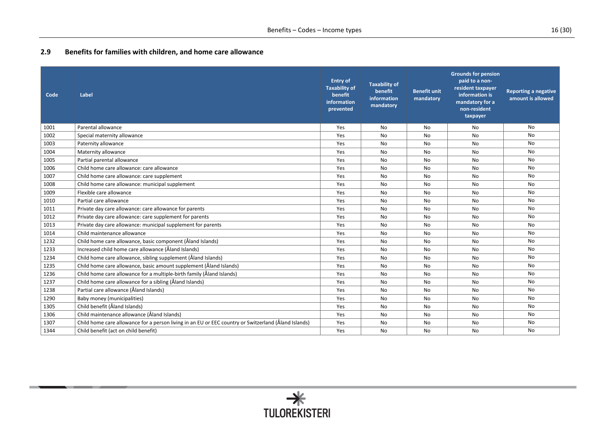#### <span id="page-15-0"></span>**2.9 Benefits for families with children, and home care allowance**

| Code | Label                                                                                                | <b>Entry of</b><br><b>Taxability of</b><br>benefit<br>information<br>prevented | <b>Taxability of</b><br>benefit<br>information<br>mandatory | <b>Benefit unit</b><br>mandatory | <b>Grounds for pension</b><br>paid to a non-<br>resident taxpayer<br>information is<br>mandatory for a<br>non-resident<br>taxpayer | <b>Reporting a negative</b><br>amount is allowed |
|------|------------------------------------------------------------------------------------------------------|--------------------------------------------------------------------------------|-------------------------------------------------------------|----------------------------------|------------------------------------------------------------------------------------------------------------------------------------|--------------------------------------------------|
| 1001 | Parental allowance                                                                                   | Yes                                                                            | <b>No</b>                                                   | No                               | No                                                                                                                                 | No                                               |
| 1002 | Special maternity allowance                                                                          | Yes                                                                            | <b>No</b>                                                   | <b>No</b>                        | No                                                                                                                                 | <b>No</b>                                        |
| 1003 | Paternity allowance                                                                                  | Yes                                                                            | No                                                          | No                               | No                                                                                                                                 | N <sub>o</sub>                                   |
| 1004 | Maternity allowance                                                                                  | Yes                                                                            | No                                                          | No                               | No                                                                                                                                 | <b>No</b>                                        |
| 1005 | Partial parental allowance                                                                           | Yes                                                                            | No                                                          | No                               | No                                                                                                                                 | <b>No</b>                                        |
| 1006 | Child home care allowance: care allowance                                                            | Yes                                                                            | No                                                          | No                               | No                                                                                                                                 | <b>No</b>                                        |
| 1007 | Child home care allowance: care supplement                                                           | Yes                                                                            | <b>No</b>                                                   | No                               | No                                                                                                                                 | <b>No</b>                                        |
| 1008 | Child home care allowance: municipal supplement                                                      | Yes                                                                            | No                                                          | No                               | No                                                                                                                                 | <b>No</b>                                        |
| 1009 | Flexible care allowance                                                                              | Yes                                                                            | <b>No</b>                                                   | No                               | No                                                                                                                                 | No                                               |
| 1010 | Partial care allowance                                                                               | Yes                                                                            | <b>No</b>                                                   | No                               | No                                                                                                                                 | No                                               |
| 1011 | Private day care allowance: care allowance for parents                                               | Yes                                                                            | No                                                          | No                               | No                                                                                                                                 | <b>No</b>                                        |
| 1012 | Private day care allowance: care supplement for parents                                              | Yes                                                                            | <b>No</b>                                                   | <b>No</b>                        | No                                                                                                                                 | <b>No</b>                                        |
| 1013 | Private day care allowance: municipal supplement for parents                                         | Yes                                                                            | No                                                          | No                               | No                                                                                                                                 | <b>No</b>                                        |
| 1014 | Child maintenance allowance                                                                          | Yes                                                                            | <b>No</b>                                                   | No                               | No                                                                                                                                 | <b>No</b>                                        |
| 1232 | Child home care allowance, basic component (Åland Islands)                                           | Yes                                                                            | <b>No</b>                                                   | No                               | No                                                                                                                                 | <b>No</b>                                        |
| 1233 | Increased child home care allowance (Åland Islands)                                                  | Yes                                                                            | <b>No</b>                                                   | No                               | No                                                                                                                                 | <b>No</b>                                        |
| 1234 | Child home care allowance, sibling supplement (Åland Islands)                                        | Yes                                                                            | No                                                          | No                               | No                                                                                                                                 | <b>No</b>                                        |
| 1235 | Child home care allowance, basic amount supplement (Åland Islands)                                   | Yes                                                                            | No                                                          | No                               | No                                                                                                                                 | No                                               |
| 1236 | Child home care allowance for a multiple-birth family (Åland Islands)                                | Yes                                                                            | No                                                          | No                               | No                                                                                                                                 | <b>No</b>                                        |
| 1237 | Child home care allowance for a sibling (Åland Islands)                                              | Yes                                                                            | <b>No</b>                                                   | No                               | No                                                                                                                                 | No                                               |
| 1238 | Partial care allowance (Åland Islands)                                                               | Yes                                                                            | No                                                          | No                               | No                                                                                                                                 | No                                               |
| 1290 | Baby money (municipalities)                                                                          | Yes                                                                            | <b>No</b>                                                   | No                               | No                                                                                                                                 | <b>No</b>                                        |
| 1305 | Child benefit (Åland Islands)                                                                        | Yes                                                                            | <b>No</b>                                                   | No                               | No                                                                                                                                 | No                                               |
| 1306 | Child maintenance allowance (Åland Islands)                                                          | Yes                                                                            | <b>No</b>                                                   | No                               | No                                                                                                                                 | <b>No</b>                                        |
| 1307 | Child home care allowance for a person living in an EU or EEC country or Switzerland (Åland Islands) | Yes                                                                            | <b>No</b>                                                   | No                               | No                                                                                                                                 | <b>No</b>                                        |
| 1344 | Child benefit (act on child benefit)                                                                 | Yes                                                                            | No                                                          | No                               | No                                                                                                                                 | No                                               |

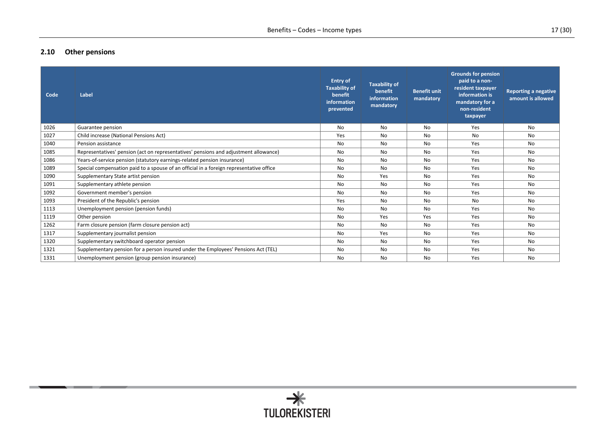#### <span id="page-16-0"></span>**2.10 Other pensions**

| Code | Label                                                                                   | <b>Entry of</b><br><b>Taxability of</b><br>benefit<br>information<br>prevented | <b>Taxability of</b><br>benefit<br><b>information</b><br>mandatory | <b>Benefit unit</b><br>mandatory | <b>Grounds for pension</b><br>paid to a non-<br>resident taxpayer<br>information is<br>mandatory for a<br>non-resident<br>taxpayer | <b>Reporting a negative</b><br>amount is allowed |
|------|-----------------------------------------------------------------------------------------|--------------------------------------------------------------------------------|--------------------------------------------------------------------|----------------------------------|------------------------------------------------------------------------------------------------------------------------------------|--------------------------------------------------|
| 1026 | Guarantee pension                                                                       | <b>No</b>                                                                      | <b>No</b>                                                          | <b>No</b>                        | Yes                                                                                                                                | No                                               |
| 1027 | Child increase (National Pensions Act)                                                  | Yes                                                                            | <b>No</b>                                                          | <b>No</b>                        | <b>No</b>                                                                                                                          | <b>No</b>                                        |
| 1040 | Pension assistance                                                                      | No                                                                             | No                                                                 | No                               | Yes                                                                                                                                | No                                               |
| 1085 | Representatives' pension (act on representatives' pensions and adjustment allowance)    | No                                                                             | No                                                                 | No                               | Yes                                                                                                                                | No                                               |
| 1086 | Years-of-service pension (statutory earnings-related pension insurance)                 | No                                                                             | No                                                                 | No                               | Yes                                                                                                                                | No                                               |
| 1089 | Special compensation paid to a spouse of an official in a foreign representative office | No                                                                             | No                                                                 | No                               | Yes                                                                                                                                | <b>No</b>                                        |
| 1090 | Supplementary State artist pension                                                      | No                                                                             | Yes                                                                | No                               | Yes                                                                                                                                | No                                               |
| 1091 | Supplementary athlete pension                                                           | No                                                                             | <b>No</b>                                                          | No                               | Yes                                                                                                                                | No                                               |
| 1092 | Government member's pension                                                             | No                                                                             | <b>No</b>                                                          | No                               | Yes                                                                                                                                | No                                               |
| 1093 | President of the Republic's pension                                                     | <b>Yes</b>                                                                     | N <sub>o</sub>                                                     | No                               | No                                                                                                                                 | <b>No</b>                                        |
| 1113 | Unemployment pension (pension funds)                                                    | No                                                                             | <b>No</b>                                                          | No                               | Yes                                                                                                                                | No                                               |
| 1119 | Other pension                                                                           | No                                                                             | Yes                                                                | Yes                              | Yes                                                                                                                                | No                                               |
| 1262 | Farm closure pension (farm closure pension act)                                         | <b>No</b>                                                                      | <b>No</b>                                                          | <b>No</b>                        | Yes                                                                                                                                | <b>No</b>                                        |
| 1317 | Supplementary journalist pension                                                        | No                                                                             | Yes                                                                | No                               | Yes                                                                                                                                | No                                               |
| 1320 | Supplementary switchboard operator pension                                              | No                                                                             | No                                                                 | No                               | Yes                                                                                                                                | No                                               |
| 1321 | Supplementary pension for a person insured under the Employees' Pensions Act (TEL)      | No                                                                             | No                                                                 | No                               | Yes                                                                                                                                | No                                               |
| 1331 | Unemployment pension (group pension insurance)                                          | No.                                                                            | No                                                                 | No                               | Yes                                                                                                                                | No                                               |

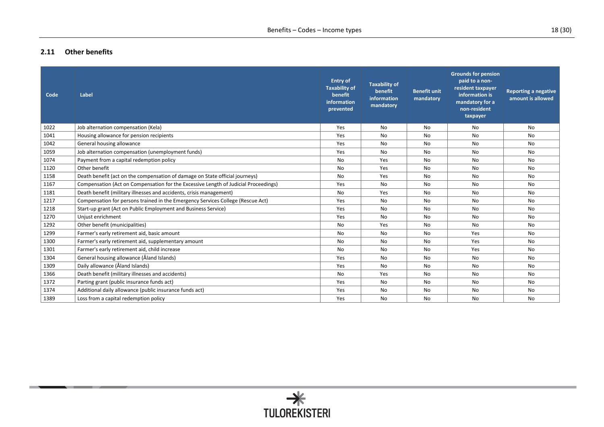#### <span id="page-17-0"></span>**2.11 Other benefits**

| Code | Label                                                                               | <b>Entry of</b><br><b>Taxability of</b><br>benefit<br>information<br>prevented | <b>Taxability of</b><br>benefit<br>information<br>mandatory | <b>Benefit unit</b><br>mandatory | <b>Grounds for pension</b><br>paid to a non-<br>resident taxpayer<br>information is<br>mandatory for a<br>non-resident<br>taxpayer | <b>Reporting a negative</b><br>amount is allowed |
|------|-------------------------------------------------------------------------------------|--------------------------------------------------------------------------------|-------------------------------------------------------------|----------------------------------|------------------------------------------------------------------------------------------------------------------------------------|--------------------------------------------------|
| 1022 | Job alternation compensation (Kela)                                                 | Yes                                                                            | <b>No</b>                                                   | No                               | No                                                                                                                                 | <b>No</b>                                        |
| 1041 | Housing allowance for pension recipients                                            | Yes                                                                            | No                                                          | No                               | No                                                                                                                                 | <b>No</b>                                        |
| 1042 | General housing allowance                                                           | Yes                                                                            | <b>No</b>                                                   | No                               | No                                                                                                                                 | <b>No</b>                                        |
| 1059 | Job alternation compensation (unemployment funds)                                   | Yes                                                                            | No                                                          | No                               | No                                                                                                                                 | No                                               |
| 1074 | Payment from a capital redemption policy                                            | No                                                                             | Yes                                                         | No                               | No                                                                                                                                 | No                                               |
| 1120 | Other benefit                                                                       | <b>No</b>                                                                      | Yes                                                         | No.                              | No.                                                                                                                                | No                                               |
| 1158 | Death benefit (act on the compensation of damage on State official journeys)        | No                                                                             | Yes                                                         | No                               | No                                                                                                                                 | No                                               |
| 1167 | Compensation (Act on Compensation for the Excessive Length of Judicial Proceedings) | Yes                                                                            | No                                                          | No                               | No                                                                                                                                 | No                                               |
| 1181 | Death benefit (military illnesses and accidents, crisis management)                 | No                                                                             | Yes                                                         | No                               | No                                                                                                                                 | <b>No</b>                                        |
| 1217 | Compensation for persons trained in the Emergency Services College (Rescue Act)     | Yes                                                                            | No                                                          | No                               | No                                                                                                                                 | <b>No</b>                                        |
| 1218 | Start-up grant (Act on Public Employment and Business Service)                      | Yes                                                                            | <b>No</b>                                                   | No.                              | No.                                                                                                                                | <b>No</b>                                        |
| 1270 | Unjust enrichment                                                                   | Yes                                                                            | <b>No</b>                                                   | No                               | No                                                                                                                                 | <b>No</b>                                        |
| 1292 | Other benefit (municipalities)                                                      | No                                                                             | Yes                                                         | No                               | No                                                                                                                                 | No                                               |
| 1299 | Farmer's early retirement aid, basic amount                                         | No                                                                             | <b>No</b>                                                   | No                               | Yes                                                                                                                                | No                                               |
| 1300 | Farmer's early retirement aid, supplementary amount                                 | No                                                                             | No                                                          | No                               | Yes                                                                                                                                | No                                               |
| 1301 | Farmer's early retirement aid, child increase                                       | No                                                                             | No                                                          | No                               | Yes                                                                                                                                | No                                               |
| 1304 | General housing allowance (Åland Islands)                                           | Yes                                                                            | <b>No</b>                                                   | No                               | No                                                                                                                                 | <b>No</b>                                        |
| 1309 | Daily allowance (Åland Islands)                                                     | Yes                                                                            | <b>No</b>                                                   | No                               | No                                                                                                                                 | <b>No</b>                                        |
| 1366 | Death benefit (military illnesses and accidents)                                    | No                                                                             | Yes                                                         | No                               | No                                                                                                                                 | No                                               |
| 1372 | Parting grant (public insurance funds act)                                          | Yes                                                                            | No                                                          | No                               | No                                                                                                                                 | <b>No</b>                                        |
| 1374 | Additional daily allowance (public insurance funds act)                             | Yes                                                                            | No                                                          | No                               | No                                                                                                                                 | No                                               |
| 1389 | Loss from a capital redemption policy                                               | Yes                                                                            | No                                                          | No                               | No                                                                                                                                 | No                                               |

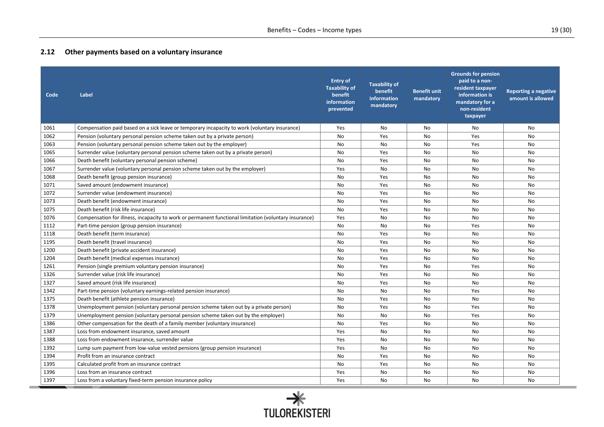#### <span id="page-18-0"></span>**2.12 Other payments based on a voluntary insurance**

| Code | Label                                                                                                 | <b>Entry of</b><br><b>Taxability of</b><br>benefit<br>information<br>prevented | <b>Taxability of</b><br>benefit<br>information<br>mandatory | <b>Benefit unit</b><br>mandatory | <b>Grounds for pension</b><br>paid to a non-<br>resident taxpayer<br>information is<br>mandatory for a<br>non-resident<br>taxpayer | <b>Reporting a negative</b><br>amount is allowed |
|------|-------------------------------------------------------------------------------------------------------|--------------------------------------------------------------------------------|-------------------------------------------------------------|----------------------------------|------------------------------------------------------------------------------------------------------------------------------------|--------------------------------------------------|
| 1061 | Compensation paid based on a sick leave or temporary incapacity to work (voluntary insurance)         | Yes                                                                            | <b>No</b>                                                   | No                               | No                                                                                                                                 | <b>No</b>                                        |
| 1062 | Pension (voluntary personal pension scheme taken out by a private person)                             | <b>No</b>                                                                      | Yes                                                         | No                               | Yes                                                                                                                                | No                                               |
| 1063 | Pension (voluntary personal pension scheme taken out by the employer)                                 | No                                                                             | No                                                          | No                               | Yes                                                                                                                                | No                                               |
| 1065 | Surrender value (voluntary personal pension scheme taken out by a private person)                     | No                                                                             | Yes                                                         | No                               | No                                                                                                                                 | No                                               |
| 1066 | Death benefit (voluntary personal pension scheme)                                                     | No                                                                             | Yes                                                         | No                               | No                                                                                                                                 | No                                               |
| 1067 | Surrender value (voluntary personal pension scheme taken out by the employer)                         | Yes                                                                            | No                                                          | No                               | No                                                                                                                                 | No                                               |
| 1068 | Death benefit (group pension insurance)                                                               | No                                                                             | Yes                                                         | No                               | No                                                                                                                                 | No                                               |
| 1071 | Saved amount (endowment insurance)                                                                    | No                                                                             | Yes                                                         | No                               | No                                                                                                                                 | No                                               |
| 1072 | Surrender value (endowment insurance)                                                                 | No                                                                             | Yes                                                         | No                               | No                                                                                                                                 | No                                               |
| 1073 | Death benefit (endowment insurance)                                                                   | No                                                                             | Yes                                                         | No                               | No                                                                                                                                 | No                                               |
| 1075 | Death benefit (risk life insurance)                                                                   | No                                                                             | Yes                                                         | No                               | No                                                                                                                                 | No                                               |
| 1076 | Compensation for illness, incapacity to work or permanent functional limitation (voluntary insurance) | Yes                                                                            | No                                                          | No                               | No                                                                                                                                 | No                                               |
| 1112 | Part-time pension (group pension insurance)                                                           | No                                                                             | No                                                          | No                               | Yes                                                                                                                                | No                                               |
| 1118 | Death benefit (term insurance)                                                                        | <b>No</b>                                                                      | Yes                                                         | <b>No</b>                        | No                                                                                                                                 | No                                               |
| 1195 | Death benefit (travel insurance)                                                                      | No                                                                             | Yes                                                         | No                               | No                                                                                                                                 | No                                               |
| 1200 | Death benefit (private accident insurance)                                                            | No                                                                             | Yes                                                         | No                               | No                                                                                                                                 | No                                               |
| 1204 | Death benefit (medical expenses insurance)                                                            | No                                                                             | Yes                                                         | <b>No</b>                        | No                                                                                                                                 | No                                               |
| 1261 | Pension (single premium voluntary pension insurance)                                                  | <b>No</b>                                                                      | Yes                                                         | <b>No</b>                        | Yes                                                                                                                                | <b>No</b>                                        |
| 1326 | Surrender value (risk life insurance)                                                                 | No                                                                             | Yes                                                         | <b>No</b>                        | No                                                                                                                                 | No                                               |
| 1327 | Saved amount (risk life insurance)                                                                    | No                                                                             | Yes                                                         | <b>No</b>                        | No                                                                                                                                 | No                                               |
| 1342 | Part-time pension (voluntary earnings-related pension insurance)                                      | No                                                                             | No                                                          | No                               | Yes                                                                                                                                | No                                               |
| 1375 | Death benefit (athlete pension insurance)                                                             | No                                                                             | Yes                                                         | No                               | No                                                                                                                                 | No                                               |
| 1378 | Unemployment pension (voluntary personal pension scheme taken out by a private person)                | No                                                                             | Yes                                                         | No                               | Yes                                                                                                                                | No                                               |
| 1379 | Unemployment pension (voluntary personal pension scheme taken out by the employer)                    | No                                                                             | <b>No</b>                                                   | No                               | Yes                                                                                                                                | No                                               |
| 1386 | Other compensation for the death of a family member (voluntary insurance)                             | No                                                                             | Yes                                                         | No                               | No                                                                                                                                 | No                                               |
| 1387 | Loss from endowment insurance, saved amount                                                           | Yes                                                                            | No                                                          | No                               | No                                                                                                                                 | No                                               |
| 1388 | Loss from endowment insurance, surrender value                                                        | Yes                                                                            | No                                                          | No                               | No                                                                                                                                 | No                                               |
| 1392 | Lump sum payment from low-value vested pensions (group pension insurance)                             | Yes                                                                            | No                                                          | <b>No</b>                        | No                                                                                                                                 | No                                               |
| 1394 | Profit from an insurance contract                                                                     | No                                                                             | Yes                                                         | No                               | No                                                                                                                                 | No                                               |
| 1395 | Calculated profit from an insurance contract                                                          | No                                                                             | Yes                                                         | No                               | No                                                                                                                                 | No                                               |
| 1396 | Loss from an insurance contract                                                                       | Yes                                                                            | No                                                          | No                               | No                                                                                                                                 | No                                               |
| 1397 | Loss from a voluntary fixed-term pension insurance policy                                             | Yes                                                                            | No                                                          | No                               | No                                                                                                                                 | No                                               |

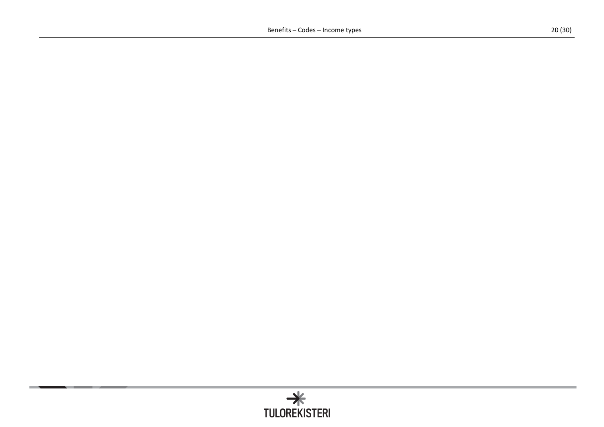# TULOREKISTERI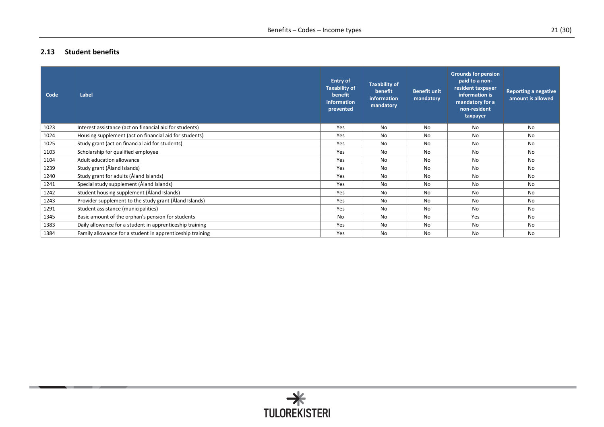#### <span id="page-20-0"></span>**2.13 Student benefits**

| Code | Label                                                     | <b>Entry of</b><br><b>Taxability of</b><br>benefit<br>information<br>prevented | <b>Taxability of</b><br>benefit<br>information<br>mandatory | <b>Benefit unit</b><br>mandatory | <b>Grounds for pension</b><br>paid to a non-<br>resident taxpayer<br>information is<br>mandatory for a<br>non-resident<br>taxpayer | <b>Reporting a negative</b><br>amount is allowed |
|------|-----------------------------------------------------------|--------------------------------------------------------------------------------|-------------------------------------------------------------|----------------------------------|------------------------------------------------------------------------------------------------------------------------------------|--------------------------------------------------|
| 1023 | Interest assistance (act on financial aid for students)   | Yes                                                                            | No                                                          | No                               | No.                                                                                                                                | No.                                              |
| 1024 | Housing supplement (act on financial aid for students)    | Yes                                                                            | No                                                          | No                               | No.                                                                                                                                | No.                                              |
| 1025 | Study grant (act on financial aid for students)           | Yes                                                                            | No                                                          | No                               | No                                                                                                                                 | No                                               |
| 1103 | Scholarship for qualified employee                        | Yes                                                                            | No                                                          | No.                              | No                                                                                                                                 | No                                               |
| 1104 | Adult education allowance                                 | Yes                                                                            | No                                                          | No.                              | No.                                                                                                                                | No.                                              |
| 1239 | Study grant (Åland Islands)                               | Yes                                                                            | No                                                          | No                               | No                                                                                                                                 | No.                                              |
| 1240 | Study grant for adults (Åland Islands)                    | Yes                                                                            | No                                                          | No.                              | No.                                                                                                                                | No.                                              |
| 1241 | Special study supplement (Åland Islands)                  | Yes                                                                            | No                                                          | No.                              | No.                                                                                                                                | No.                                              |
| 1242 | Student housing supplement (Åland Islands)                | Yes                                                                            | No                                                          | No.                              | No.                                                                                                                                | No.                                              |
| 1243 | Provider supplement to the study grant (Aland Islands)    | Yes                                                                            | No                                                          | No                               | No.                                                                                                                                | No                                               |
| 1291 | Student assistance (municipalities)                       | Yes                                                                            | No                                                          | No.                              | No.                                                                                                                                | No.                                              |
| 1345 | Basic amount of the orphan's pension for students         | No                                                                             | No                                                          | No                               | Yes                                                                                                                                | No.                                              |
| 1383 | Daily allowance for a student in apprenticeship training  | Yes                                                                            | No                                                          | No.                              | No.                                                                                                                                | No.                                              |
| 1384 | Family allowance for a student in apprenticeship training | Yes                                                                            | No                                                          | No                               | No                                                                                                                                 | No                                               |

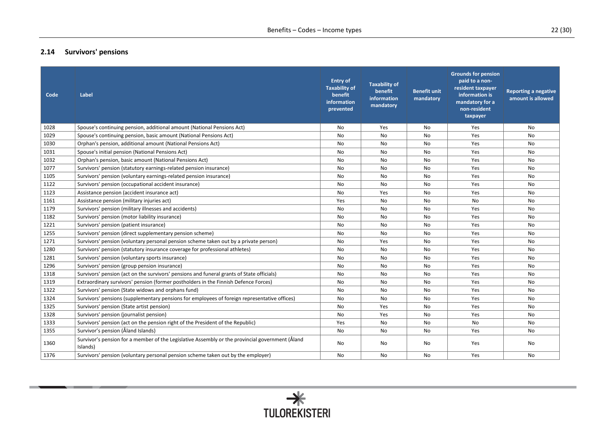#### <span id="page-21-0"></span>**2.14 Survivors' pensions**

 $\overline{\phantom{a}}$ 

| Code | Label                                                                                                       | <b>Entry of</b><br><b>Taxability of</b><br>benefit<br>information<br>prevented | <b>Taxability of</b><br>benefit<br>information<br>mandatory | <b>Benefit unit</b><br>mandatory | <b>Grounds for pension</b><br>paid to a non-<br>resident taxpayer<br>information is<br>mandatory for a<br>non-resident<br>taxpayer | <b>Reporting a negative</b><br>amount is allowed |
|------|-------------------------------------------------------------------------------------------------------------|--------------------------------------------------------------------------------|-------------------------------------------------------------|----------------------------------|------------------------------------------------------------------------------------------------------------------------------------|--------------------------------------------------|
| 1028 | Spouse's continuing pension, additional amount (National Pensions Act)                                      | No                                                                             | Yes                                                         | <b>No</b>                        | Yes                                                                                                                                | No                                               |
| 1029 | Spouse's continuing pension, basic amount (National Pensions Act)                                           | No                                                                             | No                                                          | No                               | Yes                                                                                                                                | No                                               |
| 1030 | Orphan's pension, additional amount (National Pensions Act)                                                 | No                                                                             | No                                                          | <b>No</b>                        | Yes                                                                                                                                | No                                               |
| 1031 | Spouse's initial pension (National Pensions Act)                                                            | No                                                                             | No                                                          | No                               | Yes                                                                                                                                | No                                               |
| 1032 | Orphan's pension, basic amount (National Pensions Act)                                                      | No                                                                             | No                                                          | <b>No</b>                        | Yes                                                                                                                                | <b>No</b>                                        |
| 1077 | Survivors' pension (statutory earnings-related pension insurance)                                           | No                                                                             | No                                                          | No                               | Yes                                                                                                                                | No                                               |
| 1105 | Survivors' pension (voluntary earnings-related pension insurance)                                           | No                                                                             | No                                                          | <b>No</b>                        | Yes                                                                                                                                | No                                               |
| 1122 | Survivors' pension (occupational accident insurance)                                                        | No                                                                             | No                                                          | <b>No</b>                        | Yes                                                                                                                                | No                                               |
| 1123 | Assistance pension (accident insurance act)                                                                 | No                                                                             | Yes                                                         | No                               | Yes                                                                                                                                | No                                               |
| 1161 | Assistance pension (military injuries act)                                                                  | Yes                                                                            | No                                                          | <b>No</b>                        | No                                                                                                                                 | No                                               |
| 1179 | Survivors' pension (military illnesses and accidents)                                                       | No                                                                             | No                                                          | <b>No</b>                        | Yes                                                                                                                                | No                                               |
| 1182 | Survivors' pension (motor liability insurance)                                                              | No                                                                             | No                                                          | No                               | Yes                                                                                                                                | No                                               |
| 1221 | Survivors' pension (patient insurance)                                                                      | No                                                                             | No                                                          | No                               | Yes                                                                                                                                | No                                               |
| 1255 | Survivors' pension (direct supplementary pension scheme)                                                    | No                                                                             | No                                                          | <b>No</b>                        | Yes                                                                                                                                | No                                               |
| 1271 | Survivors' pension (voluntary personal pension scheme taken out by a private person)                        | No                                                                             | Yes                                                         | <b>No</b>                        | Yes                                                                                                                                | No                                               |
| 1280 | Survivors' pension (statutory insurance coverage for professional athletes)                                 | No                                                                             | No                                                          | <b>No</b>                        | Yes                                                                                                                                | No                                               |
| 1281 | Survivors' pension (voluntary sports insurance)                                                             | No                                                                             | No                                                          | No                               | Yes                                                                                                                                | No                                               |
| 1296 | Survivors' pension (group pension insurance)                                                                | No                                                                             | No                                                          | <b>No</b>                        | Yes                                                                                                                                | <b>No</b>                                        |
| 1318 | Survivors' pension (act on the survivors' pensions and funeral grants of State officials)                   | No                                                                             | No                                                          | No                               | Yes                                                                                                                                | No                                               |
| 1319 | Extraordinary survivors' pension (former postholders in the Finnish Defence Forces)                         | No                                                                             | No                                                          | No                               | Yes                                                                                                                                | No                                               |
| 1322 | Survivors' pension (State widows and orphans fund)                                                          | No                                                                             | No                                                          | <b>No</b>                        | Yes                                                                                                                                | No                                               |
| 1324 | Survivors' pensions (supplementary pensions for employees of foreign representative offices)                | No                                                                             | No                                                          | <b>No</b>                        | Yes                                                                                                                                | No                                               |
| 1325 | Survivors' pension (State artist pension)                                                                   | No                                                                             | Yes                                                         | <b>No</b>                        | Yes                                                                                                                                | <b>No</b>                                        |
| 1328 | Survivors' pension (journalist pension)                                                                     | No                                                                             | Yes                                                         | No                               | Yes                                                                                                                                | <b>No</b>                                        |
| 1333 | Survivors' pension (act on the pension right of the President of the Republic)                              | Yes                                                                            | No                                                          | No                               | No                                                                                                                                 | No                                               |
| 1355 | Survivor's pension (Åland Islands)                                                                          | No                                                                             | No                                                          | No                               | Yes                                                                                                                                | No                                               |
| 1360 | Survivor's pension for a member of the Legislative Assembly or the provincial government (Åland<br>Islands) | No                                                                             | No                                                          | No                               | Yes                                                                                                                                | No                                               |
| 1376 | Survivors' pension (voluntary personal pension scheme taken out by the employer)                            | No.                                                                            | No                                                          | N <sub>o</sub>                   | Yes                                                                                                                                | No                                               |

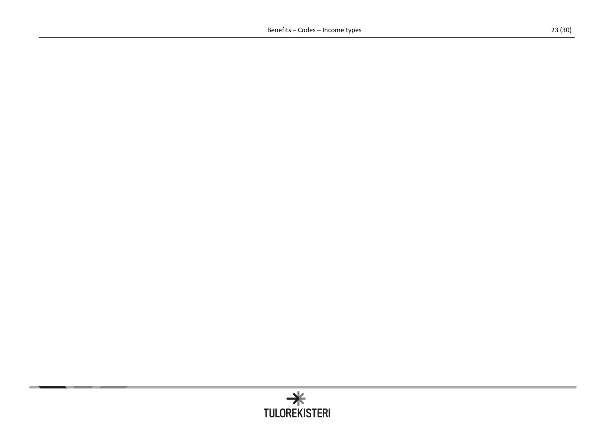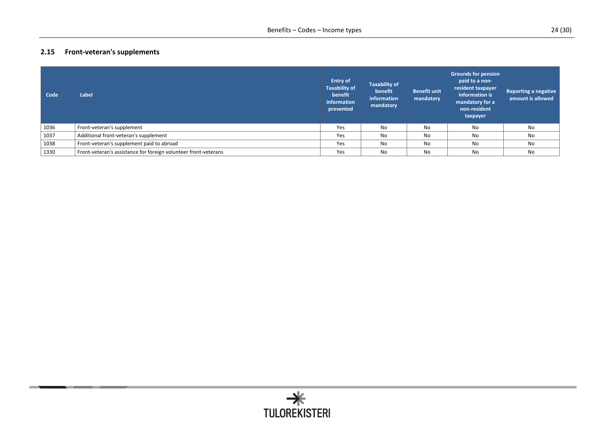#### <span id="page-23-0"></span>**2.15 Front-veteran's supplements**

| Code | Label                                                           | Entry of<br><b>Taxability of</b><br>benefit<br>information<br>prevented | <b>Taxability of</b><br>benefit<br>information<br>mandatory | <b>Benefit unit</b><br>mandatory | <b>Grounds for pension</b><br>paid to a non-<br>resident taxpayer<br>information is<br>mandatory for a<br>non-resident<br>taxpayer | <b>Reporting a negative</b><br>amount is allowed |
|------|-----------------------------------------------------------------|-------------------------------------------------------------------------|-------------------------------------------------------------|----------------------------------|------------------------------------------------------------------------------------------------------------------------------------|--------------------------------------------------|
| 1036 | Front-veteran's supplement                                      | Yes                                                                     | No                                                          | No                               | <b>No</b>                                                                                                                          | No                                               |
| 1037 | Additional front-veteran's supplement                           | Yes                                                                     | No                                                          | No                               | No                                                                                                                                 | No                                               |
| 1038 | Front-veteran's supplement paid to abroad                       | Yes                                                                     | No                                                          | No                               | No                                                                                                                                 | No                                               |
| 1330 | Front-veteran's assistance for foreign volunteer front-veterans | Yes                                                                     | No                                                          | No                               | No                                                                                                                                 | No                                               |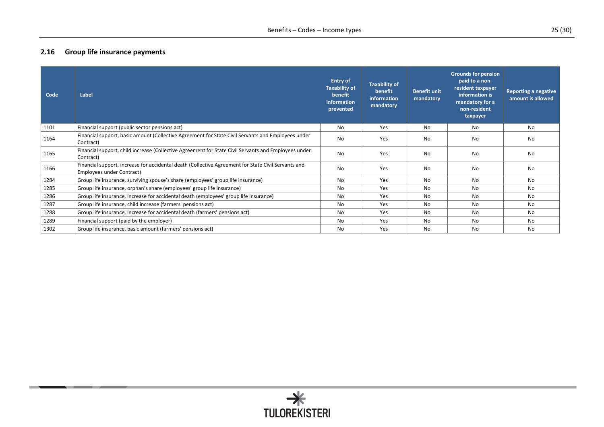#### <span id="page-24-0"></span>**2.16 Group life insurance payments**

| Code | Label                                                                                                                            | <b>Entry of</b><br><b>Taxability of</b><br>benefit<br><b>information</b><br>prevented | <b>Taxability of</b><br>benefit<br><b>information</b><br>mandatory | <b>Benefit unit</b><br>mandatory | <b>Grounds for pension</b><br>paid to a non-<br>resident taxpayer<br>information is<br>mandatory for a<br>non-resident<br>taxpayer | <b>Reporting a negative</b><br>amount is allowed |
|------|----------------------------------------------------------------------------------------------------------------------------------|---------------------------------------------------------------------------------------|--------------------------------------------------------------------|----------------------------------|------------------------------------------------------------------------------------------------------------------------------------|--------------------------------------------------|
| 1101 | Financial support (public sector pensions act)                                                                                   | <b>No</b>                                                                             | Yes                                                                | No                               | No                                                                                                                                 | No                                               |
| 1164 | Financial support, basic amount (Collective Agreement for State Civil Servants and Employees under<br>Contract)                  | <b>No</b>                                                                             | Yes                                                                | No                               | No                                                                                                                                 | <b>No</b>                                        |
| 1165 | Financial support, child increase (Collective Agreement for State Civil Servants and Employees under<br>Contract)                | <b>No</b>                                                                             | Yes                                                                | No                               | No                                                                                                                                 | No                                               |
| 1166 | Financial support, increase for accidental death (Collective Agreement for State Civil Servants and<br>Employees under Contract) | No                                                                                    | Yes                                                                | No                               | No                                                                                                                                 | No                                               |
| 1284 | Group life insurance, surviving spouse's share (employees' group life insurance)                                                 | <b>No</b>                                                                             | Yes                                                                | <b>No</b>                        | No.                                                                                                                                | No                                               |
| 1285 | Group life insurance, orphan's share (employees' group life insurance)                                                           | <b>No</b>                                                                             | Yes                                                                | No                               | No                                                                                                                                 | No                                               |
| 1286 | Group life insurance, increase for accidental death (employees' group life insurance)                                            | No.                                                                                   | Yes                                                                | No                               | No.                                                                                                                                | No.                                              |
| 1287 | Group life insurance, child increase (farmers' pensions act)                                                                     | No.                                                                                   | Yes                                                                | No                               | No                                                                                                                                 | No                                               |
| 1288 | Group life insurance, increase for accidental death (farmers' pensions act)                                                      | <b>No</b>                                                                             | Yes                                                                | No                               | No.                                                                                                                                | No                                               |
| 1289 | Financial support (paid by the employer)                                                                                         | No.                                                                                   | Yes                                                                | No                               | No.                                                                                                                                | No.                                              |
| 1302 | Group life insurance, basic amount (farmers' pensions act)                                                                       | No                                                                                    | Yes                                                                | No                               | No                                                                                                                                 | No                                               |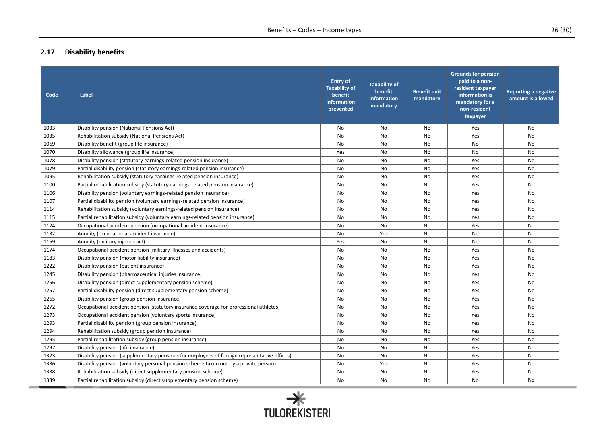#### <span id="page-25-0"></span>**2.17 Disability benefits**

| Code | Label                                                                                       | <b>Entry of</b><br><b>Taxability of</b><br>benefit<br>information<br>prevented | <b>Taxability of</b><br>benefit<br>information<br>mandatory | <b>Benefit unit</b><br>mandatory | <b>Grounds for pension</b><br>paid to a non-<br>resident taxpayer<br>information is<br>mandatory for a<br>non-resident<br>taxpayer | <b>Reporting a negative</b><br>amount is allowed |
|------|---------------------------------------------------------------------------------------------|--------------------------------------------------------------------------------|-------------------------------------------------------------|----------------------------------|------------------------------------------------------------------------------------------------------------------------------------|--------------------------------------------------|
| 1033 | Disability pension (National Pensions Act)                                                  | No                                                                             | No                                                          | No                               | Yes                                                                                                                                | No                                               |
| 1035 | Rehabilitation subsidy (National Pensions Act)                                              | No                                                                             | No                                                          | No                               | Yes                                                                                                                                | No                                               |
| 1069 | Disability benefit (group life insurance)                                                   | <b>No</b>                                                                      | No                                                          | No                               | No                                                                                                                                 | <b>No</b>                                        |
| 1070 | Disability allowance (group life insurance)                                                 | Yes                                                                            | <b>No</b>                                                   | <b>No</b>                        | No                                                                                                                                 | <b>No</b>                                        |
| 1078 | Disability pension (statutory earnings-related pension insurance)                           | No                                                                             | No                                                          | No                               | Yes                                                                                                                                | <b>No</b>                                        |
| 1079 | Partial disability pension (statutory earnings-related pension insurance)                   | No                                                                             | No                                                          | No                               | Yes                                                                                                                                | <b>No</b>                                        |
| 1095 | Rehabilitation subsidy (statutory earnings-related pension insurance)                       | No                                                                             | No                                                          | No                               | Yes                                                                                                                                | No                                               |
| 1100 | Partial rehabilitation subsidy (statutory earnings-related pension insurance)               | No                                                                             | No                                                          | No                               | Yes                                                                                                                                | No                                               |
| 1106 | Disability pension (voluntary earnings-related pension insurance)                           | No                                                                             | No                                                          | No                               | Yes                                                                                                                                | No                                               |
| 1107 | Partial disability pension (voluntary earnings-related pension insurance)                   | No                                                                             | No                                                          | No                               | Yes                                                                                                                                | No                                               |
| 1114 | Rehabilitation subsidy (voluntary earnings-related pension insurance)                       | No                                                                             | No                                                          | No                               | Yes                                                                                                                                | No                                               |
| 1115 | Partial rehabilitation subsidy (voluntary earnings-related pension insurance)               | No                                                                             | No                                                          | No                               | Yes                                                                                                                                | No                                               |
| 1124 | Occupational accident pension (occupational accident insurance)                             | No                                                                             | No                                                          | No                               | Yes                                                                                                                                | No                                               |
| 1132 | Annuity (occupational accident insurance)                                                   | <b>No</b>                                                                      | Yes                                                         | <b>No</b>                        | No                                                                                                                                 | <b>No</b>                                        |
| 1159 | Annuity (military injuries act)                                                             | Yes                                                                            | No                                                          | No                               | No                                                                                                                                 | <b>No</b>                                        |
| 1174 | Occupational accident pension (military illnesses and accidents)                            | No                                                                             | No                                                          | No                               | Yes                                                                                                                                | <b>No</b>                                        |
| 1183 | Disability pension (motor liability insurance)                                              | No                                                                             | No                                                          | No                               | Yes                                                                                                                                | No                                               |
| 1222 | Disability pension (patient insurance)                                                      | No                                                                             | No                                                          | No                               | Yes                                                                                                                                | No                                               |
| 1245 | Disability pension (pharmaceutical injuries insurance)                                      | No                                                                             | No                                                          | No                               | Yes                                                                                                                                | No                                               |
| 1256 | Disability pension (direct supplementary pension scheme)                                    | No                                                                             | No                                                          | No                               | Yes                                                                                                                                | No                                               |
| 1257 | Partial disability pension (direct supplementary pension scheme)                            | No                                                                             | No                                                          | No                               | Yes                                                                                                                                | No                                               |
| 1265 | Disability pension (group pension insurance)                                                | No                                                                             | No                                                          | No                               | Yes                                                                                                                                | No                                               |
| 1272 | Occupational accident pension (statutory insurance coverage for professional athletes)      | <b>No</b>                                                                      | No                                                          | No                               | Yes                                                                                                                                | <b>No</b>                                        |
| 1273 | Occupational accident pension (voluntary sports insurance)                                  | No                                                                             | No                                                          | <b>No</b>                        | Yes                                                                                                                                | <b>No</b>                                        |
| 1293 | Partial disability pension (group pension insurance)                                        | <b>No</b>                                                                      | <b>No</b>                                                   | No                               | Yes                                                                                                                                | <b>No</b>                                        |
| 1294 | Rehabilitation subsidy (group pension insurance)                                            | No                                                                             | No                                                          | No                               | Yes                                                                                                                                | No                                               |
| 1295 | Partial rehabilitation subsidy (group pension insurance)                                    | No                                                                             | No                                                          | No                               | Yes                                                                                                                                | No                                               |
| 1297 | Disability pension (life insurance)                                                         | No                                                                             | No                                                          | No                               | Yes                                                                                                                                | No                                               |
| 1323 | Disability pension (supplementary pensions for employees of foreign representative offices) | No                                                                             | No                                                          | No                               | Yes                                                                                                                                | No                                               |
| 1336 | Disability pension (voluntary personal pension scheme taken out by a private person)        | No                                                                             | Yes                                                         | No                               | Yes                                                                                                                                | No                                               |
| 1338 | Rehabilitation subsidy (direct supplementary pension scheme)                                | No                                                                             | No                                                          | No                               | Yes                                                                                                                                | No                                               |
| 1339 | Partial rehabilitation subsidy (direct supplementary pension scheme)                        | No                                                                             | No                                                          | No                               | No                                                                                                                                 | No                                               |

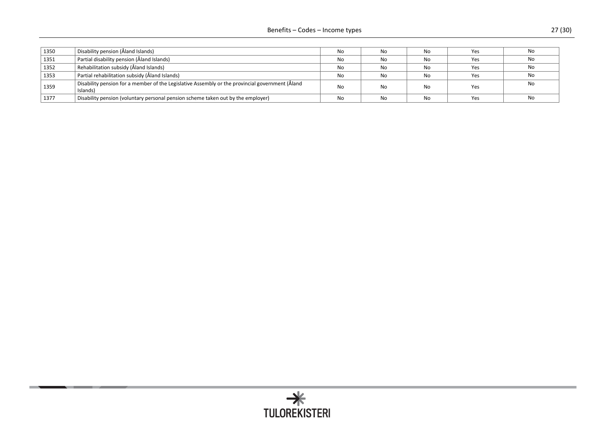| 1350 | Disability pension (Åland Islands)                                                                          | No | No | No | Yes | No |
|------|-------------------------------------------------------------------------------------------------------------|----|----|----|-----|----|
| 1351 | Partial disability pension (Åland Islands)                                                                  | No | No | No | Yes | No |
| 1352 | Rehabilitation subsidy (Åland Islands)                                                                      | No | No | No | Yes | No |
| 1353 | Partial rehabilitation subsidy (Åland Islands)                                                              | No | No | No | Yes | No |
| 1359 | Disability pension for a member of the Legislative Assembly or the provincial government (Aland<br>Islands) | No | No | No | Yes | No |
| 1377 | Disability pension (voluntary personal pension scheme taken out by the employer)                            | No | No | No | Yes | No |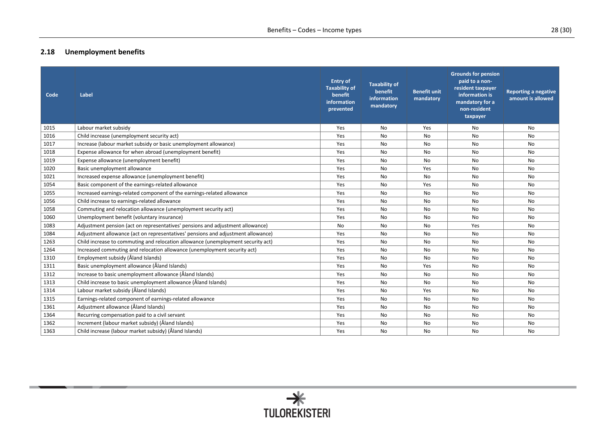#### <span id="page-27-0"></span>**2.18 Unemployment benefits**

| Code | Label                                                                            | <b>Entry of</b><br><b>Taxability of</b><br>benefit<br>information<br>prevented | <b>Taxability of</b><br>benefit<br>information<br>mandatory | <b>Benefit unit</b><br>mandatory | <b>Grounds for pension</b><br>paid to a non-<br>resident taxpayer<br>information is<br>mandatory for a<br>non-resident<br>taxpayer | <b>Reporting a negative</b><br>amount is allowed |
|------|----------------------------------------------------------------------------------|--------------------------------------------------------------------------------|-------------------------------------------------------------|----------------------------------|------------------------------------------------------------------------------------------------------------------------------------|--------------------------------------------------|
| 1015 | Labour market subsidy                                                            | Yes                                                                            | No                                                          | Yes                              | <b>No</b>                                                                                                                          | No                                               |
| 1016 | Child increase (unemployment security act)                                       | Yes                                                                            | No                                                          | <b>No</b>                        | <b>No</b>                                                                                                                          | No                                               |
| 1017 | Increase (labour market subsidy or basic unemployment allowance)                 | Yes                                                                            | No                                                          | No                               | No                                                                                                                                 | No                                               |
| 1018 | Expense allowance for when abroad (unemployment benefit)                         | Yes                                                                            | No                                                          | <b>No</b>                        | No                                                                                                                                 | No                                               |
| 1019 | Expense allowance (unemployment benefit)                                         | Yes                                                                            | No                                                          | No                               | No                                                                                                                                 | No                                               |
| 1020 | Basic unemployment allowance                                                     | Yes                                                                            | No                                                          | Yes                              | <b>No</b>                                                                                                                          | No                                               |
| 1021 | Increased expense allowance (unemployment benefit)                               | Yes                                                                            | No                                                          | <b>No</b>                        | No                                                                                                                                 | No                                               |
| 1054 | Basic component of the earnings-related allowance                                | Yes                                                                            | No                                                          | Yes                              | No                                                                                                                                 | No                                               |
| 1055 | Increased earnings-related component of the earnings-related allowance           | Yes                                                                            | No                                                          | No                               | No                                                                                                                                 | No                                               |
| 1056 | Child increase to earnings-related allowance                                     | Yes                                                                            | No                                                          | <b>No</b>                        | <b>No</b>                                                                                                                          | No                                               |
| 1058 | Commuting and relocation allowance (unemployment security act)                   | Yes                                                                            | No                                                          | No                               | No                                                                                                                                 | No                                               |
| 1060 | Unemployment benefit (voluntary insurance)                                       | Yes                                                                            | No                                                          | No                               | No                                                                                                                                 | No                                               |
| 1083 | Adjustment pension (act on representatives' pensions and adjustment allowance)   | No                                                                             | No                                                          | No                               | Yes                                                                                                                                | <b>No</b>                                        |
| 1084 | Adjustment allowance (act on representatives' pensions and adjustment allowance) | Yes                                                                            | No                                                          | <b>No</b>                        | <b>No</b>                                                                                                                          | <b>No</b>                                        |
| 1263 | Child increase to commuting and relocation allowance (unemployment security act) | Yes                                                                            | No                                                          | No                               | No                                                                                                                                 | No                                               |
| 1264 | Increased commuting and relocation allowance (unemployment security act)         | Yes                                                                            | No                                                          | <b>No</b>                        | No                                                                                                                                 | No.                                              |
| 1310 | Employment subsidy (Åland Islands)                                               | Yes                                                                            | No                                                          | <b>No</b>                        | <b>No</b>                                                                                                                          | <b>No</b>                                        |
| 1311 | Basic unemployment allowance (Åland Islands)                                     | Yes                                                                            | No                                                          | Yes                              | No                                                                                                                                 | No                                               |
| 1312 | Increase to basic unemployment allowance (Åland Islands)                         | Yes                                                                            | No                                                          | No                               | No                                                                                                                                 | No                                               |
| 1313 | Child increase to basic unemployment allowance (Åland Islands)                   | Yes                                                                            | No                                                          | No                               | No                                                                                                                                 | No                                               |
| 1314 | Labour market subsidy (Åland Islands)                                            | Yes                                                                            | No                                                          | Yes                              | No                                                                                                                                 | No                                               |
| 1315 | Earnings-related component of earnings-related allowance                         | Yes                                                                            | No                                                          | No                               | No                                                                                                                                 | No                                               |
| 1361 | Adjustment allowance (Åland Islands)                                             | Yes                                                                            | No                                                          | No                               | No                                                                                                                                 | No                                               |
| 1364 | Recurring compensation paid to a civil servant                                   | Yes                                                                            | No                                                          | No                               | <b>No</b>                                                                                                                          | <b>No</b>                                        |
| 1362 | Increment (labour market subsidy) (Åland Islands)                                | Yes                                                                            | No                                                          | No                               | No                                                                                                                                 | No                                               |
| 1363 | Child increase (labour market subsidy) (Åland Islands)                           | Yes                                                                            | <b>No</b>                                                   | <b>No</b>                        | No.                                                                                                                                | <b>No</b>                                        |

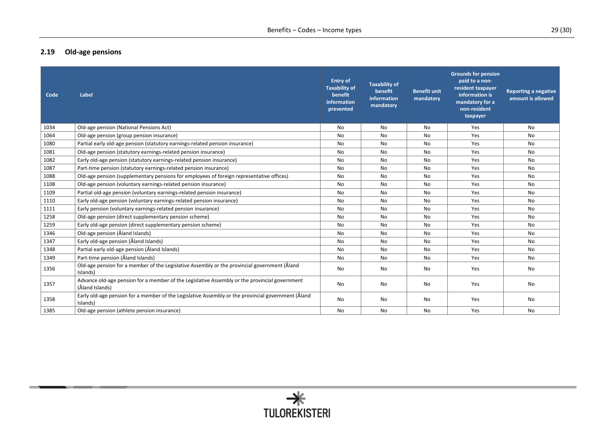#### <span id="page-28-0"></span>**2.19 Old-age pensions**

 $\overline{\phantom{a}}$ 

| Code | Label                                                                                                            | <b>Entry of</b><br><b>Taxability of</b><br>benefit<br>information<br>prevented | <b>Taxability of</b><br>benefit<br>information<br>mandatory | <b>Benefit unit</b><br>mandatory | <b>Grounds for pension</b><br>paid to a non-<br>resident taxpayer<br>information is<br>mandatory for a<br>non-resident<br>taxpayer | <b>Reporting a negative</b><br>amount is allowed |
|------|------------------------------------------------------------------------------------------------------------------|--------------------------------------------------------------------------------|-------------------------------------------------------------|----------------------------------|------------------------------------------------------------------------------------------------------------------------------------|--------------------------------------------------|
| 1034 | Old-age pension (National Pensions Act)                                                                          | <b>No</b>                                                                      | No                                                          | <b>No</b>                        | Yes                                                                                                                                | <b>No</b>                                        |
| 1064 | Old-age pension (group pension insurance)                                                                        | <b>No</b>                                                                      | No                                                          | <b>No</b>                        | Yes                                                                                                                                | <b>No</b>                                        |
| 1080 | Partial early old-age pension (statutory earnings-related pension insurance)                                     | <b>No</b>                                                                      | No                                                          | <b>No</b>                        | Yes                                                                                                                                | No                                               |
| 1081 | Old-age pension (statutory earnings-related pension insurance)                                                   | <b>No</b>                                                                      | No                                                          | No                               | Yes                                                                                                                                | No                                               |
| 1082 | Early old-age pension (statutory earnings-related pension insurance)                                             | No                                                                             | No                                                          | No                               | Yes                                                                                                                                | No                                               |
| 1087 | Part-time pension (statutory earnings-related pension insurance)                                                 | <b>No</b>                                                                      | No                                                          | No                               | Yes                                                                                                                                | No                                               |
| 1088 | Old-age pension (supplementary pensions for employees of foreign representative offices)                         | <b>No</b>                                                                      | No                                                          | No                               | Yes                                                                                                                                | No                                               |
| 1108 | Old-age pension (voluntary earnings-related pension insurance)                                                   | <b>No</b>                                                                      | No                                                          | No                               | Yes                                                                                                                                | No                                               |
| 1109 | Partial old-age pension (voluntary earnings-related pension insurance)                                           | No                                                                             | No                                                          | No                               | Yes                                                                                                                                | No                                               |
| 1110 | Early old-age pension (voluntary earnings-related pension insurance)                                             | No                                                                             | No                                                          | No                               | Yes                                                                                                                                | <b>No</b>                                        |
| 1111 | Early pension (voluntary earnings-related pension insurance)                                                     | <b>No</b>                                                                      | No                                                          | <b>No</b>                        | Yes                                                                                                                                | No                                               |
| 1258 | Old-age pension (direct supplementary pension scheme)                                                            | No                                                                             | No                                                          | No                               | Yes                                                                                                                                | No                                               |
| 1259 | Early old-age pension (direct supplementary pension scheme)                                                      | <b>No</b>                                                                      | No                                                          | No                               | Yes                                                                                                                                | No                                               |
| 1346 | Old-age pension (Åland Islands)                                                                                  | No                                                                             | No                                                          | No                               | Yes                                                                                                                                | No                                               |
| 1347 | Early old-age pension (Åland Islands)                                                                            | <b>No</b>                                                                      | No                                                          | <b>No</b>                        | Yes                                                                                                                                | No                                               |
| 1348 | Partial early old-age pension (Åland Islands)                                                                    | No                                                                             | No                                                          | No                               | Yes                                                                                                                                | No                                               |
| 1349 | Part-time pension (Åland Islands)                                                                                | <b>No</b>                                                                      | No                                                          | <b>No</b>                        | Yes                                                                                                                                | <b>No</b>                                        |
| 1356 | Old-age pension for a member of the Legislative Assembly or the provincial government (Åland<br>Islands)         | No                                                                             | No                                                          | No                               | Yes                                                                                                                                | No                                               |
| 1357 | Advance old-age pension for a member of the Legislative Assembly or the provincial government<br>(Åland Islands) | No                                                                             | No                                                          | No                               | Yes                                                                                                                                | No                                               |
| 1358 | Early old-age pension for a member of the Legislative Assembly or the provincial government (Åland<br>Islands)   | <b>No</b>                                                                      | No                                                          | No                               | Yes                                                                                                                                | No                                               |
| 1385 | Old-age pension (athlete pension insurance)                                                                      | No                                                                             | No                                                          | No                               | Yes                                                                                                                                | No                                               |